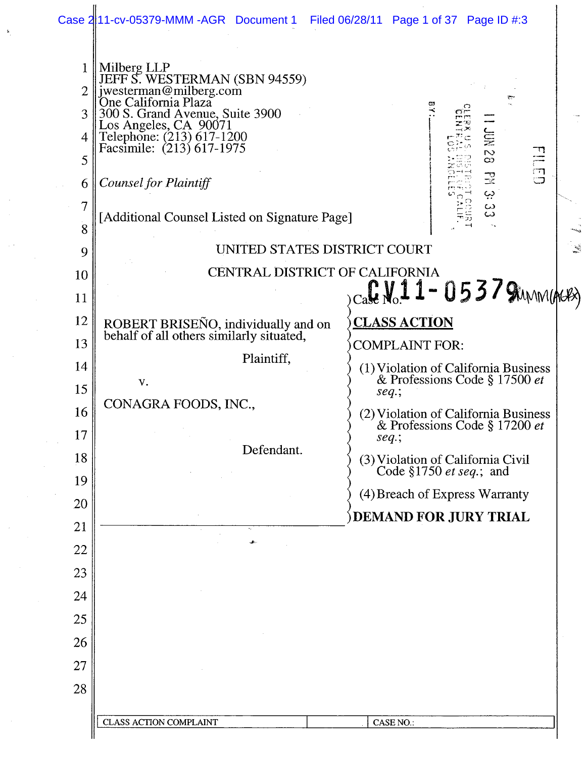|                                                   | Case 2 11-cv-05379-MMM-AGR Document 1                                                                                                                                                                                                                                                          | Filed 06/28/11 Page 1 of 37 Page ID #:3                                                              |
|---------------------------------------------------|------------------------------------------------------------------------------------------------------------------------------------------------------------------------------------------------------------------------------------------------------------------------------------------------|------------------------------------------------------------------------------------------------------|
| 1<br>$\overline{2}$<br>3<br>4<br>5<br>6<br>7<br>8 | Milberg LLP<br>JEFF S. WESTERMAN (SBN 94559)<br>jwesterman@milberg.com<br>One California Plaza<br>300 S. Grand Avenue, Suite 3900<br>Los Angeles, CA 90071<br>Telephone: (213) 617-1200<br>Facsimile: (213) 617-1975<br>Counsel for Plaintiff<br>[Additional Counsel Listed on Signature Page] | e.<br>도<br>동<br>EILED<br>O<br>$\overline{\mathcal{C}}$<br>$\infty$<br>$\mathbb{R}$<br>ڊي<br>دے<br>دے |
| 9                                                 | UNITED STATES DISTRICT COURT                                                                                                                                                                                                                                                                   |                                                                                                      |
| 10                                                | CENTRAL DISTRICT OF CALIFORNIA                                                                                                                                                                                                                                                                 |                                                                                                      |
| 11                                                |                                                                                                                                                                                                                                                                                                | $_{\rm Ca}$ C No. 1 1 - 0 5 3 7 Sunnights                                                            |
| 12                                                | ROBERT BRISEÑO, individually and on<br>behalf of all others similarly situated,                                                                                                                                                                                                                | <u>CLASS ACTION</u>                                                                                  |
| 13                                                | Plaintiff,                                                                                                                                                                                                                                                                                     | <b>COMPLAINT FOR:</b>                                                                                |
| 14                                                | V.                                                                                                                                                                                                                                                                                             | (1) Violation of California Business<br>& Professions Code § 17500 et                                |
| 15                                                | CONAGRA FOODS, INC.,                                                                                                                                                                                                                                                                           | $seq$ ;                                                                                              |
| 16                                                |                                                                                                                                                                                                                                                                                                | (2) Violation of California Business<br>& Professions Code § 17200 et                                |
| 17<br>18                                          | Defendant.                                                                                                                                                                                                                                                                                     | $seq$ ;                                                                                              |
| 19                                                |                                                                                                                                                                                                                                                                                                | (3) Violation of California Civil<br>Code §1750 <i>et seq</i> .; and                                 |
| 20                                                |                                                                                                                                                                                                                                                                                                | (4) Breach of Express Warranty                                                                       |
| 21                                                |                                                                                                                                                                                                                                                                                                | DEMAND FOR JURY TRIAL                                                                                |
| 22                                                | ÷.                                                                                                                                                                                                                                                                                             |                                                                                                      |
| 23                                                |                                                                                                                                                                                                                                                                                                |                                                                                                      |
| 24                                                |                                                                                                                                                                                                                                                                                                |                                                                                                      |
| 25                                                |                                                                                                                                                                                                                                                                                                |                                                                                                      |
| 26                                                |                                                                                                                                                                                                                                                                                                |                                                                                                      |
| 27                                                |                                                                                                                                                                                                                                                                                                |                                                                                                      |
| 28                                                |                                                                                                                                                                                                                                                                                                |                                                                                                      |
|                                                   | <b>CLASS ACTION COMPLAINT</b>                                                                                                                                                                                                                                                                  | <b>CASE NO.:</b>                                                                                     |
|                                                   |                                                                                                                                                                                                                                                                                                |                                                                                                      |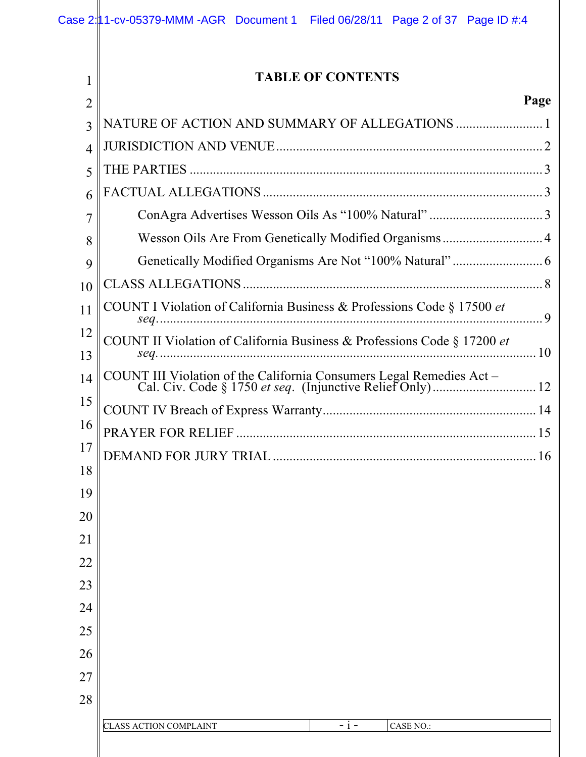1  $\overline{a}$ 

**II** 

# **TABLE OF CONTENTS**

### **Page**

| $\overline{2}$ |                                                                         | r age |
|----------------|-------------------------------------------------------------------------|-------|
| 3              |                                                                         |       |
| $\overline{4}$ |                                                                         |       |
| 5              |                                                                         |       |
| 6              |                                                                         |       |
| 7              |                                                                         |       |
| 8              | Wesson Oils Are From Genetically Modified Organisms 4                   |       |
| 9              |                                                                         |       |
| 10             |                                                                         |       |
| 11             | COUNT I Violation of California Business & Professions Code § 17500 et  |       |
| 12             | COUNT II Violation of California Business & Professions Code § 17200 et |       |
| 13             |                                                                         |       |
| 14             |                                                                         |       |
| 15             |                                                                         |       |
| 16             |                                                                         |       |
| 17             |                                                                         |       |
| 18             |                                                                         |       |
| 19             |                                                                         |       |
| 20             |                                                                         |       |
| 21             |                                                                         |       |
| 22             |                                                                         |       |
| 23             |                                                                         |       |
| 24             |                                                                         |       |
| 25             |                                                                         |       |
| 26             |                                                                         |       |
| 27             |                                                                         |       |
| 28             |                                                                         |       |
|                | <b>CLASS ACTION COMPLAINT</b><br><b>CASE NO.:</b><br>$-1 -$             |       |
|                |                                                                         |       |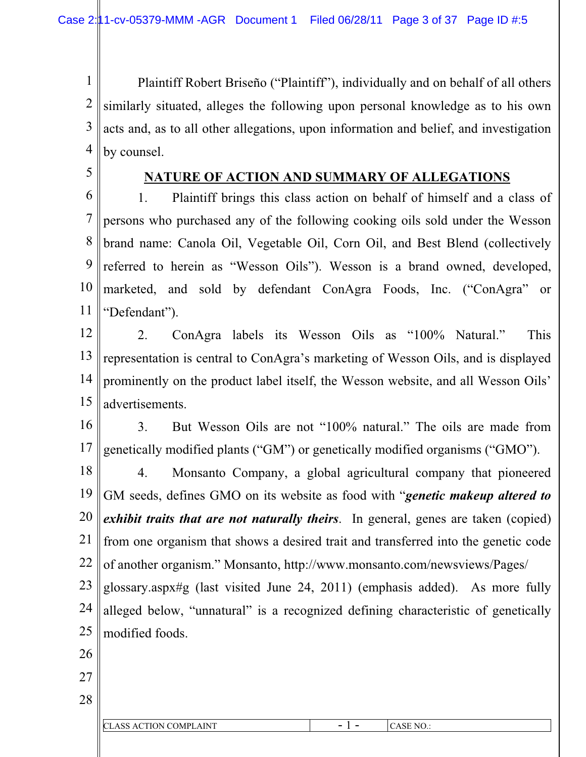1 2 3 4 Plaintiff Robert Briseño ("Plaintiff"), individually and on behalf of all others similarly situated, alleges the following upon personal knowledge as to his own acts and, as to all other allegations, upon information and belief, and investigation by counsel.

5

## **NATURE OF ACTION AND SUMMARY OF ALLEGATIONS**

6 7 8 9 10 11 1. Plaintiff brings this class action on behalf of himself and a class of persons who purchased any of the following cooking oils sold under the Wesson brand name: Canola Oil, Vegetable Oil, Corn Oil, and Best Blend (collectively referred to herein as "Wesson Oils"). Wesson is a brand owned, developed, marketed, and sold by defendant ConAgra Foods, Inc. ("ConAgra" or "Defendant").

12 13 14 15 2. ConAgra labels its Wesson Oils as "100% Natural." This representation is central to ConAgra's marketing of Wesson Oils, and is displayed prominently on the product label itself, the Wesson website, and all Wesson Oils' advertisements.

16 17 3. But Wesson Oils are not "100% natural." The oils are made from genetically modified plants ("GM") or genetically modified organisms ("GMO").

18 19 20 21 22 4. Monsanto Company, a global agricultural company that pioneered GM seeds, defines GMO on its website as food with "*genetic makeup altered to exhibit traits that are not naturally theirs*. In general, genes are taken (copied) from one organism that shows a desired trait and transferred into the genetic code of another organism." Monsanto, http://www.monsanto.com/newsviews/Pages/

23 24 25 glossary.aspx#g (last visited June 24, 2011) (emphasis added). As more fully alleged below, "unnatural" is a recognized defining characteristic of genetically modified foods.

- 26
- 27
- 28

| CTION COMPL<br>$\cap$ T<br><b>LAINT</b><br>AC<br>СЕАЭЭ | - - | $\sim$ $\sim$ $\sim$<br>`NO<br>− |
|--------------------------------------------------------|-----|----------------------------------|
|                                                        |     |                                  |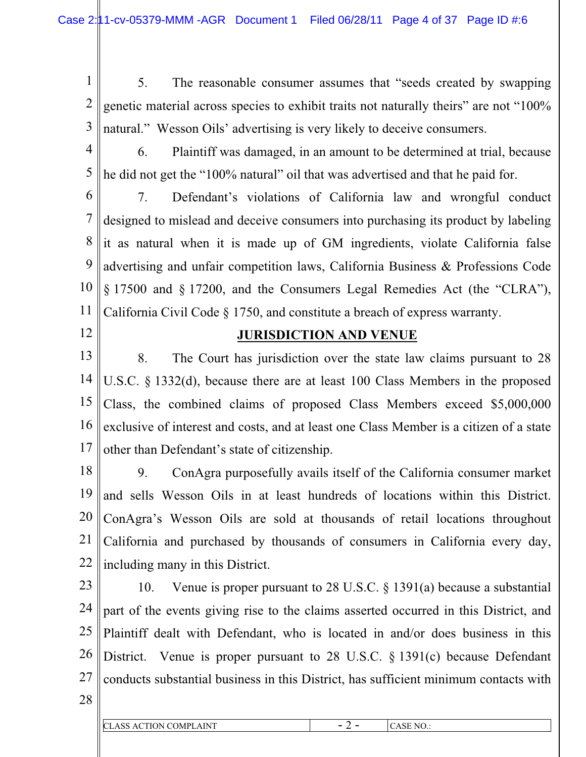1 2 3 5. The reasonable consumer assumes that "seeds created by swapping genetic material across species to exhibit traits not naturally theirs" are not "100% natural." Wesson Oils' advertising is very likely to deceive consumers.

- 4 5 6. Plaintiff was damaged, in an amount to be determined at trial, because he did not get the "100% natural" oil that was advertised and that he paid for.
- 6

7 8 9 10 11 7. Defendant's violations of California law and wrongful conduct designed to mislead and deceive consumers into purchasing its product by labeling it as natural when it is made up of GM ingredients, violate California false advertising and unfair competition laws, California Business & Professions Code § 17500 and § 17200, and the Consumers Legal Remedies Act (the "CLRA"), California Civil Code § 1750, and constitute a breach of express warranty.

12

## **JURISDICTION AND VENUE**

13 14 15 16 17 8. The Court has jurisdiction over the state law claims pursuant to 28 U.S.C. § 1332(d), because there are at least 100 Class Members in the proposed Class, the combined claims of proposed Class Members exceed \$5,000,000 exclusive of interest and costs, and at least one Class Member is a citizen of a state other than Defendant's state of citizenship.

18 19 20 21 22 9. ConAgra purposefully avails itself of the California consumer market and sells Wesson Oils in at least hundreds of locations within this District. ConAgra's Wesson Oils are sold at thousands of retail locations throughout California and purchased by thousands of consumers in California every day, including many in this District.

- 23 24 25 26 27 10. Venue is proper pursuant to 28 U.S.C. § 1391(a) because a substantial part of the events giving rise to the claims asserted occurred in this District, and Plaintiff dealt with Defendant, who is located in and/or does business in this District. Venue is proper pursuant to 28 U.S.C. § 1391(c) because Defendant conducts substantial business in this District, has sufficient minimum contacts with
- 28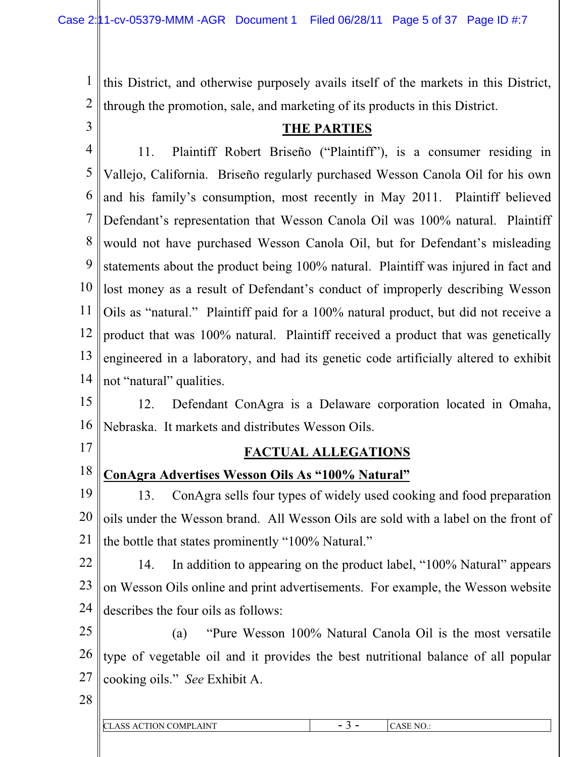1 2 this District, and otherwise purposely avails itself of the markets in this District, through the promotion, sale, and marketing of its products in this District.

3

# **THE PARTIES**

4 5 6 7 8 9 10 11 12 13 14 11. Plaintiff Robert Briseño ("Plaintiff"), is a consumer residing in Vallejo, California. Briseño regularly purchased Wesson Canola Oil for his own and his family's consumption, most recently in May 2011. Plaintiff believed Defendant's representation that Wesson Canola Oil was 100% natural. Plaintiff would not have purchased Wesson Canola Oil, but for Defendant's misleading statements about the product being 100% natural. Plaintiff was injured in fact and lost money as a result of Defendant's conduct of improperly describing Wesson Oils as "natural." Plaintiff paid for a 100% natural product, but did not receive a product that was 100% natural. Plaintiff received a product that was genetically engineered in a laboratory, and had its genetic code artificially altered to exhibit not "natural" qualities.

15 16 12. Defendant ConAgra is a Delaware corporation located in Omaha, Nebraska. It markets and distributes Wesson Oils.

17

## **FACTUAL ALLEGATIONS**

18

# **ConAgra Advertises Wesson Oils As "100% Natural"**

19 20 21 13. ConAgra sells four types of widely used cooking and food preparation oils under the Wesson brand. All Wesson Oils are sold with a label on the front of the bottle that states prominently "100% Natural."

22 23 24 14. In addition to appearing on the product label, "100% Natural" appears on Wesson Oils online and print advertisements. For example, the Wesson website describes the four oils as follows:

25 26 27 (a) "Pure Wesson 100% Natural Canola Oil is the most versatile type of vegetable oil and it provides the best nutritional balance of all popular cooking oils." *See* Exhibit A.

| CL.<br>CTION COMPI.<br>AINT<br>$\alpha$<br>הר<br>–… | NO <sub>1</sub><br>זר |
|-----------------------------------------------------|-----------------------|
|                                                     |                       |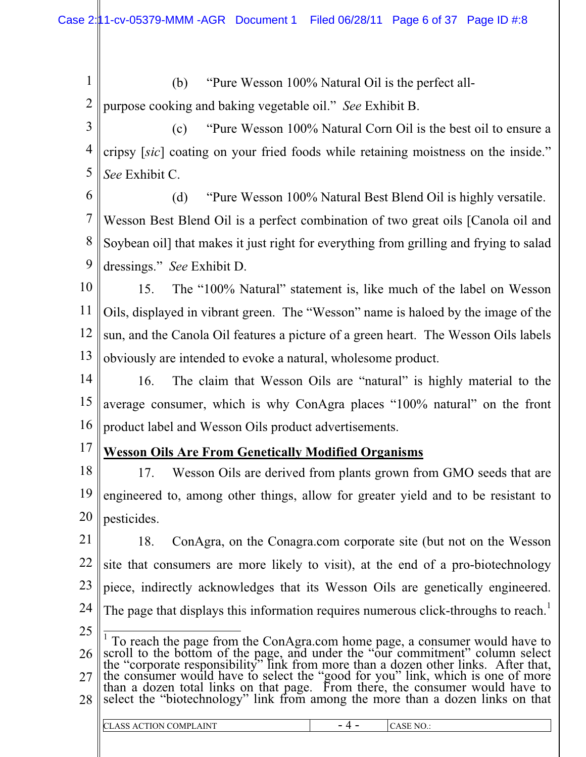1 2 (b) "Pure Wesson 100% Natural Oil is the perfect allpurpose cooking and baking vegetable oil." *See* Exhibit B.

3 4 5 (c) "Pure Wesson 100% Natural Corn Oil is the best oil to ensure a cripsy [*sic*] coating on your fried foods while retaining moistness on the inside." *See* Exhibit C.

6 7 8 9 (d) "Pure Wesson 100% Natural Best Blend Oil is highly versatile. Wesson Best Blend Oil is a perfect combination of two great oils [Canola oil and Soybean oil] that makes it just right for everything from grilling and frying to salad dressings." *See* Exhibit D.

10 11 12 13 15. The "100% Natural" statement is, like much of the label on Wesson Oils, displayed in vibrant green. The "Wesson" name is haloed by the image of the sun, and the Canola Oil features a picture of a green heart. The Wesson Oils labels obviously are intended to evoke a natural, wholesome product.

14 15 16 16. The claim that Wesson Oils are "natural" is highly material to the average consumer, which is why ConAgra places "100% natural" on the front product label and Wesson Oils product advertisements.

17

# **Wesson Oils Are From Genetically Modified Organisms**

18 19 20 17. Wesson Oils are derived from plants grown from GMO seeds that are engineered to, among other things, allow for greater yield and to be resistant to pesticides.

21 22 23 24 25 18. ConAgra, on the Conagra.com corporate site (but not on the Wesson site that consumers are more likely to visit), at the end of a pro-biotechnology piece, indirectly acknowledges that its Wesson Oils are genetically engineered. The page that displays this information requires numerous click-throughs to reach.<sup>1</sup> <sup>1</sup> To reach the page from the ConAgra.com home page, a consumer would have to

26 27 28 scroll to the bottom of the page, and under the "our commitment" column select the "corporate responsibility" link from more than a dozen other links. After that, the consumer would have to select the "good for you" link, which is one of more than a dozen total links on that page. From there, the consumer would have to select the "biotechnology" link from among the more than a dozen links on that

| <b>ACTION COMPLE</b><br>AINT<br>ı C'<br>Ö<br>$\mathbf{v}$ | N <sub>O</sub><br>$\smile$ |
|-----------------------------------------------------------|----------------------------|
|                                                           |                            |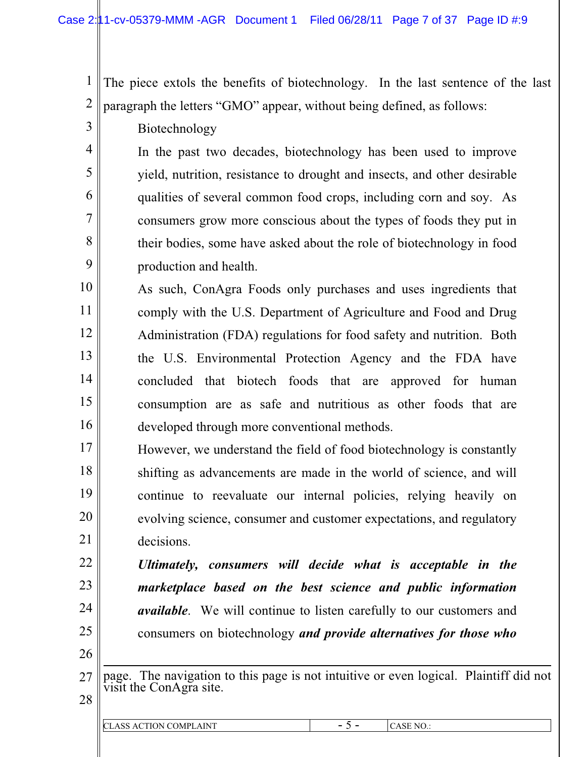1 2 The piece extols the benefits of biotechnology. In the last sentence of the last paragraph the letters "GMO" appear, without being defined, as follows:

Biotechnology

3

4

5

6

7

8

9

In the past two decades, biotechnology has been used to improve yield, nutrition, resistance to drought and insects, and other desirable qualities of several common food crops, including corn and soy. As consumers grow more conscious about the types of foods they put in their bodies, some have asked about the role of biotechnology in food production and health.

10 11 12 13 14 15 16 As such, ConAgra Foods only purchases and uses ingredients that comply with the U.S. Department of Agriculture and Food and Drug Administration (FDA) regulations for food safety and nutrition. Both the U.S. Environmental Protection Agency and the FDA have concluded that biotech foods that are approved for human consumption are as safe and nutritious as other foods that are developed through more conventional methods.

17 18 19 20 21 However, we understand the field of food biotechnology is constantly shifting as advancements are made in the world of science, and will continue to reevaluate our internal policies, relying heavily on evolving science, consumer and customer expectations, and regulatory decisions.

- *Ultimately, consumers will decide what is acceptable in the marketplace based on the best science and public information available*. We will continue to listen carefully to our customers and consumers on biotechnology *and provide alternatives for those who*
- 26

22

23

24

- 27 page. The navigation to this page is not intuitive or even logical. Plaintiff did not visit the ConAgra site.
- 28

| CLASS<br>ACTION COMPI<br><b>LAINT</b><br>ພວ | $\overline{\phantom{0}}$<br>- - | ASE NO<br>CAJE IV |
|---------------------------------------------|---------------------------------|-------------------|
|                                             |                                 |                   |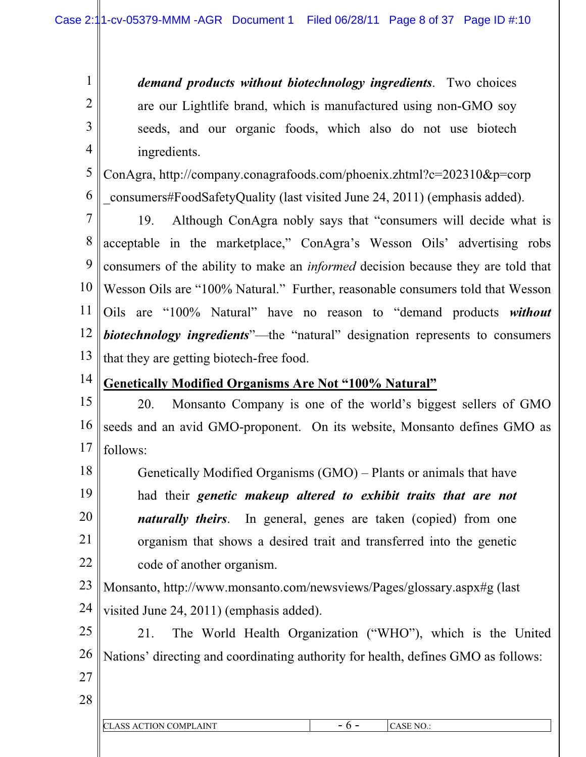*demand products without biotechnology ingredients*. Two choices are our Lightlife brand, which is manufactured using non-GMO soy seeds, and our organic foods, which also do not use biotech ingredients.

5 6 ConAgra, http://company.conagrafoods.com/phoenix.zhtml?c=202310&p=corp \_consumers#FoodSafetyQuality (last visited June 24, 2011) (emphasis added).

7 8 9 10 11 12 13 19. Although ConAgra nobly says that "consumers will decide what is acceptable in the marketplace," ConAgra's Wesson Oils' advertising robs consumers of the ability to make an *informed* decision because they are told that Wesson Oils are "100% Natural." Further, reasonable consumers told that Wesson Oils are "100% Natural" have no reason to "demand products *without biotechnology ingredients*"—the "natural" designation represents to consumers that they are getting biotech-free food.

**Genetically Modified Organisms Are Not "100% Natural"**

15 16 17 20. Monsanto Company is one of the world's biggest sellers of GMO seeds and an avid GMO-proponent. On its website, Monsanto defines GMO as follows:

18 19 20 21 22 Genetically Modified Organisms (GMO) – Plants or animals that have had their *genetic makeup altered to exhibit traits that are not naturally theirs*. In general, genes are taken (copied) from one organism that shows a desired trait and transferred into the genetic code of another organism.

23 24 Monsanto, http://www.monsanto.com/newsviews/Pages/glossary.aspx#g (last visited June 24, 2011) (emphasis added).

25 26 21. The World Health Organization ("WHO"), which is the United Nations' directing and coordinating authority for health, defines GMO as follows:

27

1

2

3

4

14

| CLASS ACTION COMPLAINT | - | NO.<br>'NЬ. |
|------------------------|---|-------------|
|                        |   |             |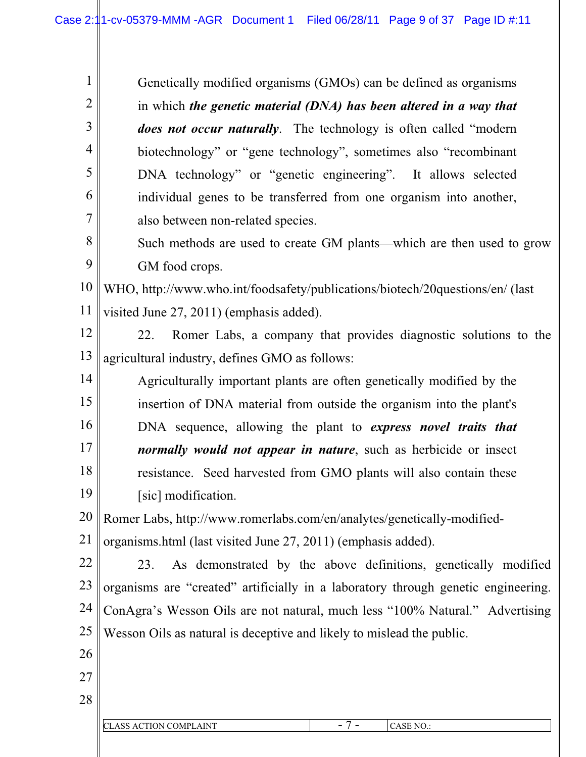Genetically modified organisms (GMOs) can be defined as organisms in which *the genetic material (DNA) has been altered in a way that does not occur naturally*. The technology is often called "modern biotechnology" or "gene technology", sometimes also "recombinant DNA technology" or "genetic engineering". It allows selected individual genes to be transferred from one organism into another, also between non-related species. Such methods are used to create GM plants—which are then used to grow

GM food crops.

1

2

3

4

5

6

7

8

9

10 11 WHO, http://www.who.int/foodsafety/publications/biotech/20questions/en/ (last visited June 27, 2011) (emphasis added).

- 12 13 22. Romer Labs, a company that provides diagnostic solutions to the agricultural industry, defines GMO as follows:
- 14 15 16 17 18 19 Agriculturally important plants are often genetically modified by the insertion of DNA material from outside the organism into the plant's DNA sequence, allowing the plant to *express novel traits that normally would not appear in nature*, such as herbicide or insect resistance. Seed harvested from GMO plants will also contain these [sic] modification.

20 21 Romer Labs, http://www.romerlabs.com/en/analytes/genetically-modifiedorganisms.html (last visited June 27, 2011) (emphasis added).

22 23 24 25 23. As demonstrated by the above definitions, genetically modified organisms are "created" artificially in a laboratory through genetic engineering. ConAgra's Wesson Oils are not natural, much less "100% Natural." Advertising Wesson Oils as natural is deceptive and likely to mislead the public.

26

27

| . INIT<br>l C<br>.~MPI<br>'NN | $\overline{\phantom{a}}$<br>. . | ↘<br>. |
|-------------------------------|---------------------------------|--------|
|                               |                                 |        |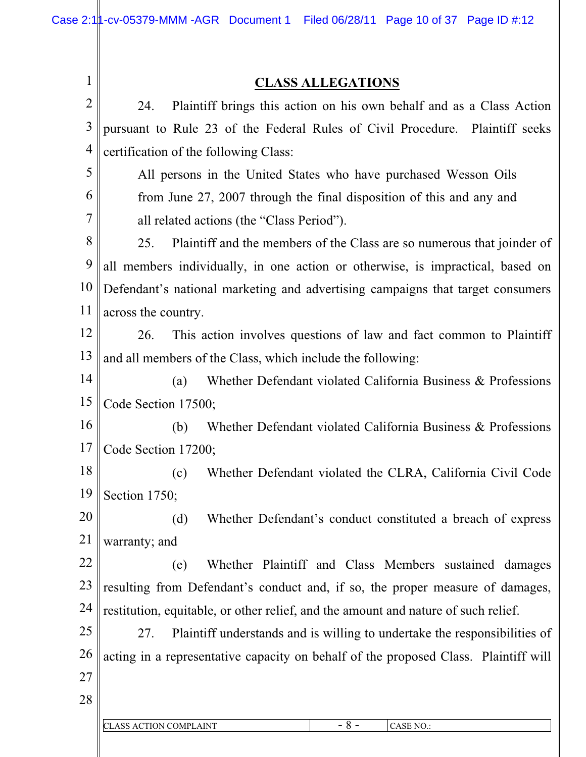1

# **CLASS ALLEGATIONS**

| $\overline{2}$ | Plaintiff brings this action on his own behalf and as a Class Action<br>24.         |
|----------------|-------------------------------------------------------------------------------------|
| 3              | pursuant to Rule 23 of the Federal Rules of Civil Procedure. Plaintiff seeks        |
| $\overline{4}$ | certification of the following Class:                                               |
| 5              | All persons in the United States who have purchased Wesson Oils                     |
| 6              | from June 27, 2007 through the final disposition of this and any and                |
| 7              | all related actions (the "Class Period").                                           |
| 8              | 25.<br>Plaintiff and the members of the Class are so numerous that joinder of       |
| 9              | all members individually, in one action or otherwise, is impractical, based on      |
| 10             | Defendant's national marketing and advertising campaigns that target consumers      |
| 11             | across the country.                                                                 |
| 12             | This action involves questions of law and fact common to Plaintiff<br>26.           |
| 13             | and all members of the Class, which include the following:                          |
| 14             | Whether Defendant violated California Business & Professions<br>(a)                 |
| 15             | Code Section 17500;                                                                 |
| 16             | Whether Defendant violated California Business & Professions<br>(b)                 |
| 17             | Code Section 17200;                                                                 |
| 18             | (c)<br>Whether Defendant violated the CLRA, California Civil Code                   |
| 19             | Section 1750;                                                                       |
| 20             | (d)<br>Whether Defendant's conduct constituted a breach of express                  |
| 21             | warranty; and                                                                       |
| 22             | Whether Plaintiff and Class Members sustained damages<br>(e)                        |
| 23             | resulting from Defendant's conduct and, if so, the proper measure of damages,       |
| 24             | restitution, equitable, or other relief, and the amount and nature of such relief.  |
| 25             | Plaintiff understands and is willing to undertake the responsibilities of<br>27.    |
| 26             | acting in a representative capacity on behalf of the proposed Class. Plaintiff will |
| 27             |                                                                                     |
| 28             |                                                                                     |
|                | $-8-$<br><b>CLASS ACTION COMPLAINT</b><br>CASE NO.:                                 |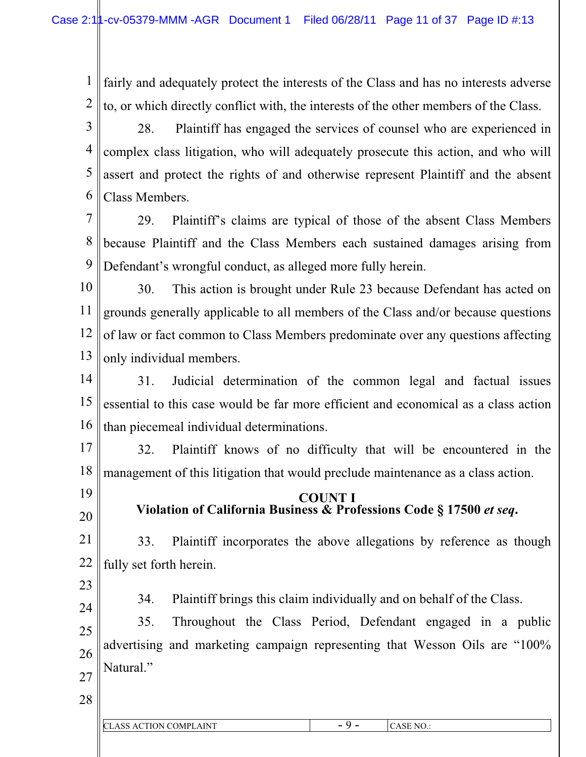1 2 fairly and adequately protect the interests of the Class and has no interests adverse to, or which directly conflict with, the interests of the other members of the Class.

3 4 5 6 28. Plaintiff has engaged the services of counsel who are experienced in complex class litigation, who will adequately prosecute this action, and who will assert and protect the rights of and otherwise represent Plaintiff and the absent Class Members.

7 8 9 29. Plaintiff's claims are typical of those of the absent Class Members because Plaintiff and the Class Members each sustained damages arising from Defendant's wrongful conduct, as alleged more fully herein.

10 11 12 13 30. This action is brought under Rule 23 because Defendant has acted on grounds generally applicable to all members of the Class and/or because questions of law or fact common to Class Members predominate over any questions affecting only individual members.

14 15 16 31. Judicial determination of the common legal and factual issues essential to this case would be far more efficient and economical as a class action than piecemeal individual determinations.

17 18 32. Plaintiff knows of no difficulty that will be encountered in the management of this litigation that would preclude maintenance as a class action.

**COUNT I Violation of California Business & Professions Code § 17500** *et seq***.**

21 22 33. Plaintiff incorporates the above allegations by reference as though fully set forth herein.

23

19

20

34. Plaintiff brings this claim individually and on behalf of the Class.

24 25 26 27 35. Throughout the Class Period, Defendant engaged in a public advertising and marketing campaign representing that Wesson Oils are "100% Natural."

| CL.<br><b>AINT</b><br>ON COMPLA | -<br>- | N <sub>C</sub><br>$\smile$ |
|---------------------------------|--------|----------------------------|
|                                 |        |                            |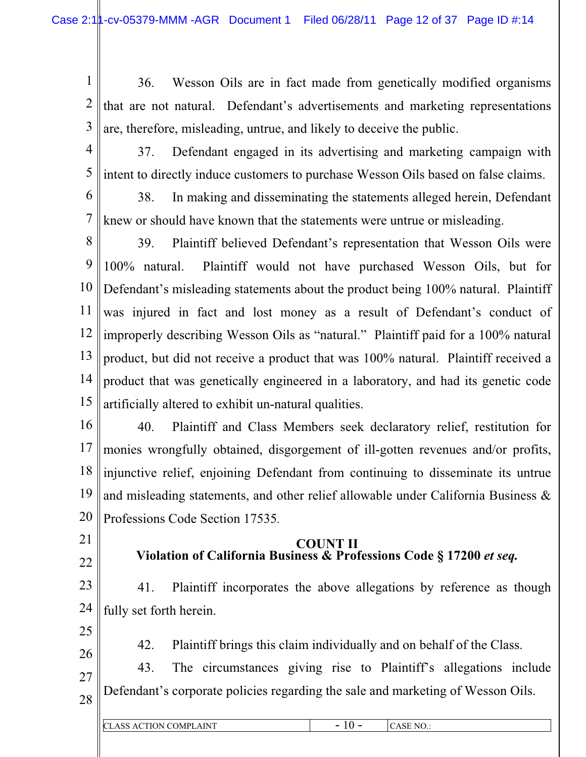1 2 3 36. Wesson Oils are in fact made from genetically modified organisms that are not natural. Defendant's advertisements and marketing representations are, therefore, misleading, untrue, and likely to deceive the public.

- 4 5 37. Defendant engaged in its advertising and marketing campaign with intent to directly induce customers to purchase Wesson Oils based on false claims.
- 6 7 38. In making and disseminating the statements alleged herein, Defendant knew or should have known that the statements were untrue or misleading.
- 8 9 10 11 12 13 14 15 39. Plaintiff believed Defendant's representation that Wesson Oils were 100% natural. Plaintiff would not have purchased Wesson Oils, but for Defendant's misleading statements about the product being 100% natural. Plaintiff was injured in fact and lost money as a result of Defendant's conduct of improperly describing Wesson Oils as "natural." Plaintiff paid for a 100% natural product, but did not receive a product that was 100% natural. Plaintiff received a product that was genetically engineered in a laboratory, and had its genetic code artificially altered to exhibit un-natural qualities.
- 16 17 18 19 20 40. Plaintiff and Class Members seek declaratory relief, restitution for monies wrongfully obtained, disgorgement of ill-gotten revenues and/or profits, injunctive relief, enjoining Defendant from continuing to disseminate its untrue and misleading statements, and other relief allowable under California Business & Professions Code Section 17535*.*
- 21
- 22
- **COUNT II Violation of California Business & Professions Code § 17200** *et seq.*
- 23 24 41. Plaintiff incorporates the above allegations by reference as though fully set forth herein.
- 25

- 42. Plaintiff brings this claim individually and on behalf of the Class.
- 27 28 43. The circumstances giving rise to Plaintiff's allegations include Defendant's corporate policies regarding the sale and marketing of Wesson Oils.

| $\parallel$ C<br>- ACTION COMP <sup>1</sup><br>AINT<br>ASS | - | ASE NO.: |
|------------------------------------------------------------|---|----------|
|                                                            |   |          |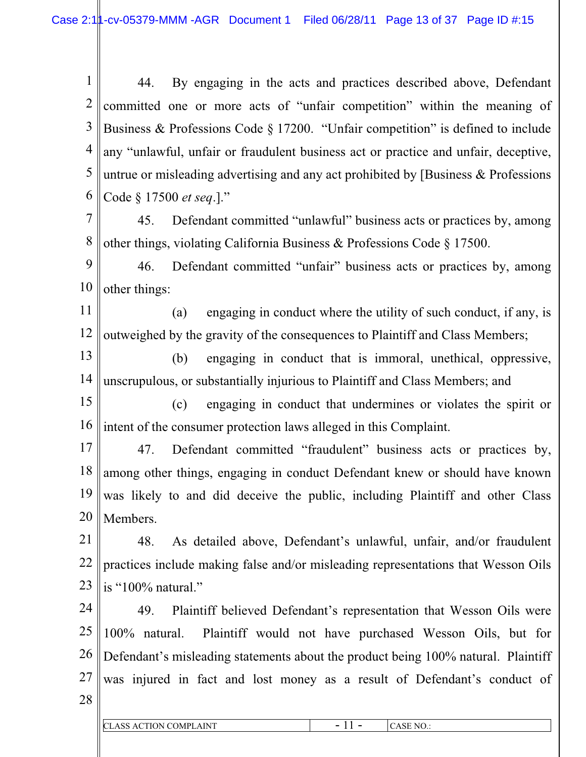1 2 3 4 5 6 44. By engaging in the acts and practices described above, Defendant committed one or more acts of "unfair competition" within the meaning of Business & Professions Code § 17200. "Unfair competition" is defined to include any "unlawful, unfair or fraudulent business act or practice and unfair, deceptive, untrue or misleading advertising and any act prohibited by [Business & Professions Code § 17500 *et seq*.]."

7 8 45. Defendant committed "unlawful" business acts or practices by, among other things, violating California Business & Professions Code § 17500.

9 10 46. Defendant committed "unfair" business acts or practices by, among other things:

11 12 (a) engaging in conduct where the utility of such conduct, if any, is outweighed by the gravity of the consequences to Plaintiff and Class Members;

13 14 (b) engaging in conduct that is immoral, unethical, oppressive, unscrupulous, or substantially injurious to Plaintiff and Class Members; and

15 16 (c) engaging in conduct that undermines or violates the spirit or intent of the consumer protection laws alleged in this Complaint.

17 18 19 20 47. Defendant committed "fraudulent" business acts or practices by, among other things, engaging in conduct Defendant knew or should have known was likely to and did deceive the public, including Plaintiff and other Class Members.

21 22 23 48. As detailed above, Defendant's unlawful, unfair, and/or fraudulent practices include making false and/or misleading representations that Wesson Oils is "100% natural."

24 25 26 27 28 49. Plaintiff believed Defendant's representation that Wesson Oils were 100% natural. Plaintiff would not have purchased Wesson Oils, but for Defendant's misleading statements about the product being 100% natural. Plaintiff was injured in fact and lost money as a result of Defendant's conduct of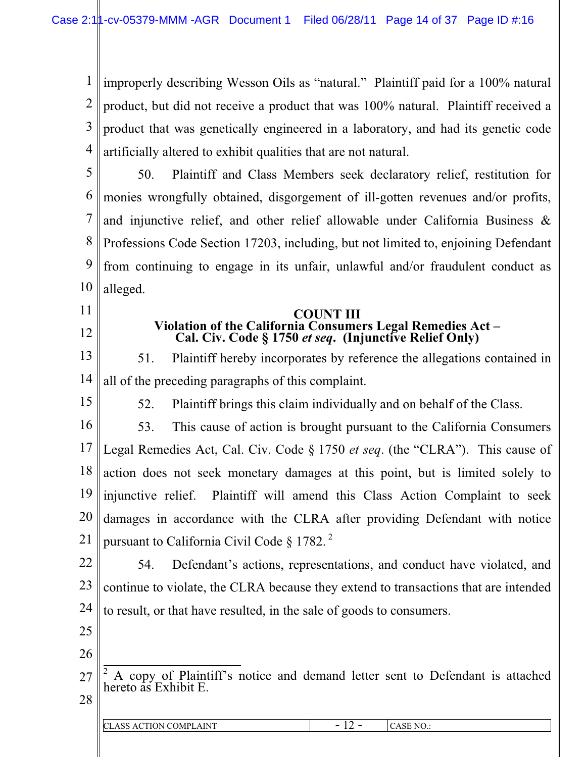1 2 3 4 improperly describing Wesson Oils as "natural." Plaintiff paid for a 100% natural product, but did not receive a product that was 100% natural. Plaintiff received a product that was genetically engineered in a laboratory, and had its genetic code artificially altered to exhibit qualities that are not natural.

5 6 7 8 9 10 50. Plaintiff and Class Members seek declaratory relief, restitution for monies wrongfully obtained, disgorgement of ill-gotten revenues and/or profits, and injunctive relief, and other relief allowable under California Business & Professions Code Section 17203, including, but not limited to, enjoining Defendant from continuing to engage in its unfair, unlawful and/or fraudulent conduct as alleged.

- 11
- 12

15

# **COUNT III**<br>- Violation of the California Consumers Legal Remedies Act **Violation of the California Consumers Legal Remedies Act – Cal. Civ. Code § 1750** *et seq***. (Injunctive Relief Only)**

13 14 51. Plaintiff hereby incorporates by reference the allegations contained in all of the preceding paragraphs of this complaint.

52. Plaintiff brings this claim individually and on behalf of the Class.

16 17 18 19 20 21 53. This cause of action is brought pursuant to the California Consumers Legal Remedies Act, Cal. Civ. Code § 1750 *et seq*. (the "CLRA"). This cause of action does not seek monetary damages at this point, but is limited solely to injunctive relief. Plaintiff will amend this Class Action Complaint to seek damages in accordance with the CLRA after providing Defendant with notice pursuant to California Civil Code  $\S 1782$ .<sup>2</sup>

22 23 24 54. Defendant's actions, representations, and conduct have violated, and continue to violate, the CLRA because they extend to transactions that are intended to result, or that have resulted, in the sale of goods to consumers.

- 25 26
- 27 <sup>2</sup> A copy of Plaintiff's notice and demand letter sent to Defendant is attached hereto as Exhibit E.
- 28

| CLASS<br><b>ACTION COMPLAINT</b><br>the contract of the contract of | -<br>-<br>. . | N <sub>0</sub><br>. J |
|---------------------------------------------------------------------|---------------|-----------------------|
|                                                                     |               |                       |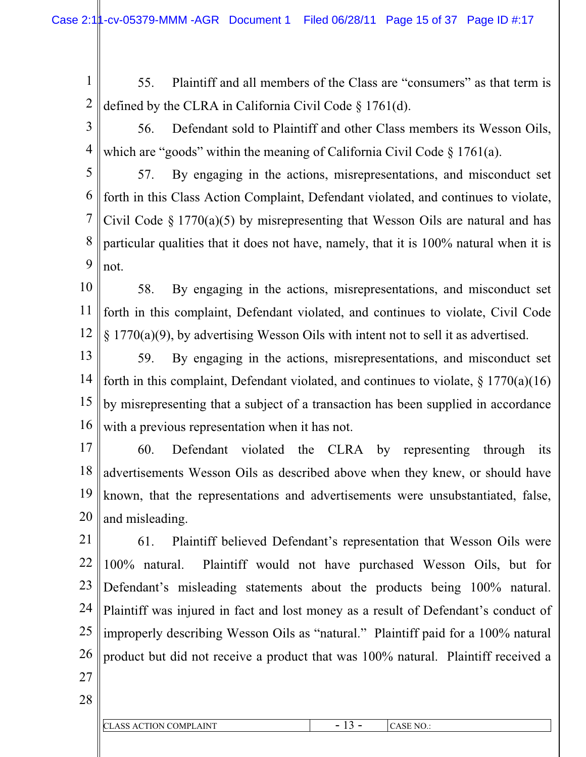- 1 2 55. Plaintiff and all members of the Class are "consumers" as that term is defined by the CLRA in California Civil Code § 1761(d).
- 3 4 56. Defendant sold to Plaintiff and other Class members its Wesson Oils, which are "goods" within the meaning of California Civil Code  $\S 1761(a)$ .

5 6 7 8 9 57. By engaging in the actions, misrepresentations, and misconduct set forth in this Class Action Complaint, Defendant violated, and continues to violate, Civil Code  $\S 1770(a)(5)$  by misrepresenting that Wesson Oils are natural and has particular qualities that it does not have, namely, that it is 100% natural when it is not.

- 10 11 12 58. By engaging in the actions, misrepresentations, and misconduct set forth in this complaint, Defendant violated, and continues to violate, Civil Code § 1770(a)(9), by advertising Wesson Oils with intent not to sell it as advertised.
- 13 14 15 16 59. By engaging in the actions, misrepresentations, and misconduct set forth in this complaint, Defendant violated, and continues to violate,  $\S 1770(a)(16)$ by misrepresenting that a subject of a transaction has been supplied in accordance with a previous representation when it has not.
- 17 18 19 20 60. Defendant violated the CLRA by representing through its advertisements Wesson Oils as described above when they knew, or should have known, that the representations and advertisements were unsubstantiated, false, and misleading.
- 21 22 23 24 25 26 27 61. Plaintiff believed Defendant's representation that Wesson Oils were 100% natural. Plaintiff would not have purchased Wesson Oils, but for Defendant's misleading statements about the products being 100% natural. Plaintiff was injured in fact and lost money as a result of Defendant's conduct of improperly describing Wesson Oils as "natural." Plaintiff paid for a 100% natural product but did not receive a product that was 100% natural. Plaintiff received a
- 28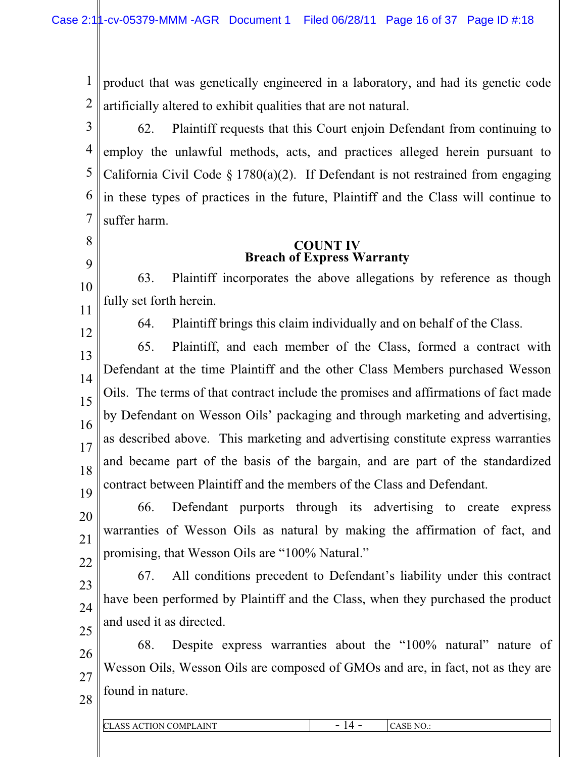1 2 product that was genetically engineered in a laboratory, and had its genetic code artificially altered to exhibit qualities that are not natural.

3 4 5 6 7 62. Plaintiff requests that this Court enjoin Defendant from continuing to employ the unlawful methods, acts, and practices alleged herein pursuant to California Civil Code  $\S 1780(a)(2)$ . If Defendant is not restrained from engaging in these types of practices in the future, Plaintiff and the Class will continue to suffer harm.

### **COUNT IV Breach of Express Warranty**

10 63. Plaintiff incorporates the above allegations by reference as though fully set forth herein.

11 12

8

9

64. Plaintiff brings this claim individually and on behalf of the Class.

13 14 15 16 17 18 19 65. Plaintiff, and each member of the Class, formed a contract with Defendant at the time Plaintiff and the other Class Members purchased Wesson Oils. The terms of that contract include the promises and affirmations of fact made by Defendant on Wesson Oils' packaging and through marketing and advertising, as described above. This marketing and advertising constitute express warranties and became part of the basis of the bargain, and are part of the standardized contract between Plaintiff and the members of the Class and Defendant.

20 21 22 66. Defendant purports through its advertising to create express warranties of Wesson Oils as natural by making the affirmation of fact, and promising, that Wesson Oils are "100% Natural."

23

24 25 67. All conditions precedent to Defendant's liability under this contract have been performed by Plaintiff and the Class, when they purchased the product and used it as directed.

26 27 68. Despite express warranties about the "100% natural" nature of Wesson Oils, Wesson Oils are composed of GMOs and are, in fact, not as they are found in nature.

|  | I<br>×<br>۰. |
|--|--------------|
|  |              |

| <b>CLASS ACTION COMPLA</b><br><b>LAINT</b> | $\overline{\phantom{a}}$<br>. . | CASE NO.: |
|--------------------------------------------|---------------------------------|-----------|
|                                            |                                 |           |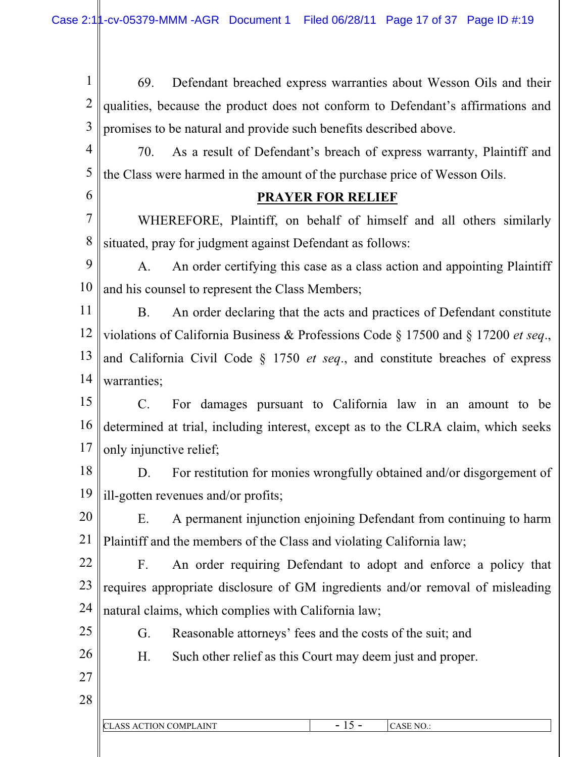1 2 3 69. Defendant breached express warranties about Wesson Oils and their qualities, because the product does not conform to Defendant's affirmations and promises to be natural and provide such benefits described above.

4 5 70. As a result of Defendant's breach of express warranty, Plaintiff and the Class were harmed in the amount of the purchase price of Wesson Oils.

## **PRAYER FOR RELIEF**

7 8 WHEREFORE, Plaintiff, on behalf of himself and all others similarly situated, pray for judgment against Defendant as follows:

9 10 A. An order certifying this case as a class action and appointing Plaintiff and his counsel to represent the Class Members;

11 12 13 14 B. An order declaring that the acts and practices of Defendant constitute violations of California Business & Professions Code § 17500 and § 17200 *et seq*., and California Civil Code § 1750 *et seq*., and constitute breaches of express warranties;

15 16 17 C. For damages pursuant to California law in an amount to be determined at trial, including interest, except as to the CLRA claim, which seeks only injunctive relief;

18 19 D. For restitution for monies wrongfully obtained and/or disgorgement of ill-gotten revenues and/or profits;

20 21 E. A permanent injunction enjoining Defendant from continuing to harm Plaintiff and the members of the Class and violating California law;

22 23 24 F. An order requiring Defendant to adopt and enforce a policy that requires appropriate disclosure of GM ingredients and/or removal of misleading natural claims, which complies with California law;

G. Reasonable attorneys' fees and the costs of the suit; and

H. Such other relief as this Court may deem just and proper.

27 28

25

26

| CL<br>$\mathsf{L}$ AINT<br>١N٠<br>17 I D | $\overline{\phantom{a}}$<br>∸ | NC |
|------------------------------------------|-------------------------------|----|
|                                          |                               |    |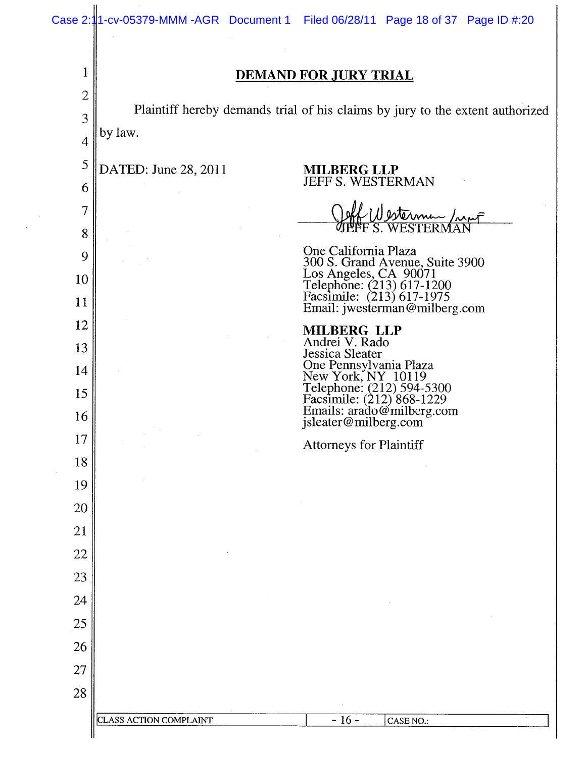| Case 2:1       | 1-cv-05379-MMM -AGR Document 1 Filed 06/28/11 Page 18 of 37 Page ID #:20                                                                                    |
|----------------|-------------------------------------------------------------------------------------------------------------------------------------------------------------|
| $\mathbf 1$    | <b>DEMAND FOR JURY TRIAL</b>                                                                                                                                |
| $\mathbf{2}$   | Plaintiff hereby demands trial of his claims by jury to the extent authorized                                                                               |
| 3              | by law.                                                                                                                                                     |
| $\overline{4}$ |                                                                                                                                                             |
| 5<br>6         | DATED: June 28, 2011<br><b>MILBERG LLP</b><br>JEFF S. WESTERMAN                                                                                             |
| $\overline{7}$ |                                                                                                                                                             |
| 8              | <u>Nesterman /mpf</u><br>S. WESTERMAN                                                                                                                       |
| 9              | One California Plaza                                                                                                                                        |
| 10             | 300 S. Grand Avenue, Suite 3900<br>Los Angeles, CA 90071<br>Telephone: (213) 617-1200<br>Facsimile: (213) 617-1975                                          |
| 11             | Email: jwesterman@milberg.com                                                                                                                               |
| 12             | <b>MILBERG LLP</b>                                                                                                                                          |
| 13             | Andrei V. Rado<br>Jessica Sleater                                                                                                                           |
| 14             |                                                                                                                                                             |
| 15             |                                                                                                                                                             |
| 16             | One Pennsylvania Plaza<br>New York, NY 10119<br>Telephone: (212) 594-5300<br>Facsimile: (212) 868-1229<br>Emails: arado@milberg.com<br>jsleater@milberg.com |
| 17             | <b>Attorneys for Plaintiff</b>                                                                                                                              |
| 18             |                                                                                                                                                             |
| 19             |                                                                                                                                                             |
| 20             |                                                                                                                                                             |
| 21             |                                                                                                                                                             |
| 22             |                                                                                                                                                             |
| 23<br>24       |                                                                                                                                                             |
| 25             |                                                                                                                                                             |
| 26             |                                                                                                                                                             |
| 27             |                                                                                                                                                             |
| 28             |                                                                                                                                                             |
|                | $-16-$<br>CLASS ACTION COMPLAINT<br>CASE NO.:                                                                                                               |
|                |                                                                                                                                                             |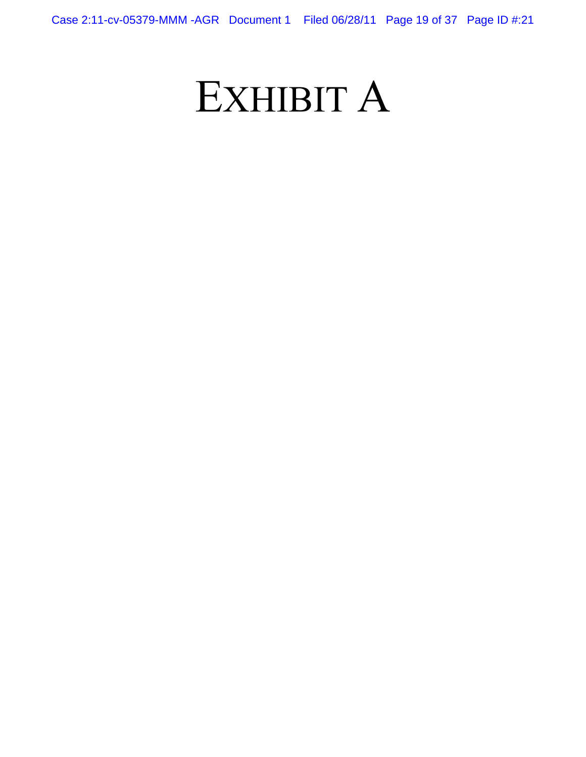# EXHIBIT A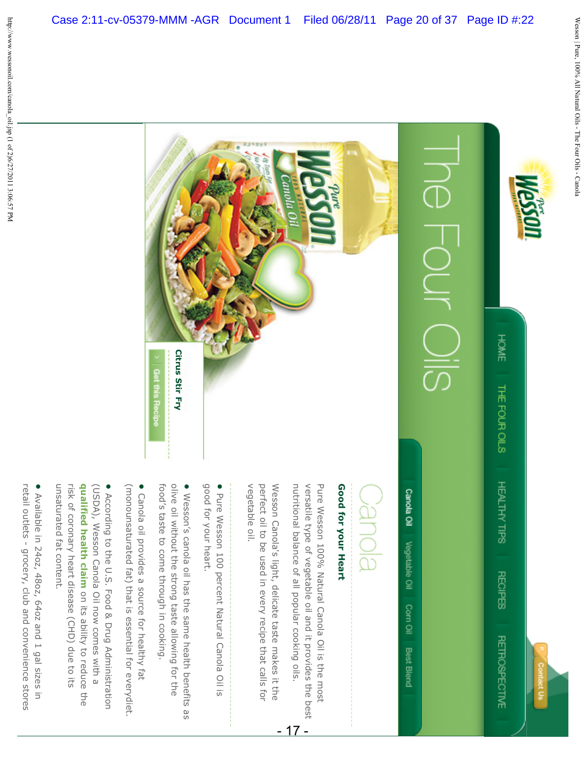



Canola Oil Vegetable Oil

Corn Oil

**Best Blend** 

# BlONBC

# Good for your Heart **Good for your Heart**

nutritional balance of all popular cooking oils. versatile type of vegetable oil and it provides the best Pure Wesson 100% Natural Canola Oil is the most versatile type of vegetable oil and it provides the best nutritional balance of all popular cooking oils. Pure Wesson 100% Natural Canola Oil is the most

- 17 -

vegetable oil. perfect oil to be used in every recipe that calls for vegetable oil. Wesson Canola's light, delicate taste makes it the Wesson Canola's light, delicate taste makes it the perfect oil to be used in every recipe that calls for

- good for your heart. • Pure Wesson 100 percent Natural Canola Oil is good for your heart. Pure Wesson 100 percent Natural Canola Oil is
- food's taste to come through in cooking. olive oil without the strong taste allowing for the • Wesson's canola oil has the same health benefits as food's taste to come through in cooking. olive oil without the strong taste allowing for the Wesson's canola oil has the same health benefits as
- (monounsaturated fat) that is essential for everydiet. • Canola oil provides a source for healthy fat (monounsaturated fat) that is essential for everydiet. Canola oil provides a source for healthy fat
- unsaturated fat content. risk of coronary heart disease (CHD) due to its qualified health claim on its ability to reduce the • According to the U.S. Food & Drug Administration **qualified health claim** (USDA), Wesson Canola Oil now comes with a unsaturated fat content. risk of coronary heart disease (CHD) due to its (USDA), Wesson Canola Oil now comes with a According to the U.S. Food & Drug Administration on its ability to reduce the
- Available in 240z, 480z, 640z and 1 gal sizes in retail outlets - grocery, club and convenience stores retail outlets - grocery, club and convenience stores Available in 24oz, 48oz, 64oz and 1 gal sizes in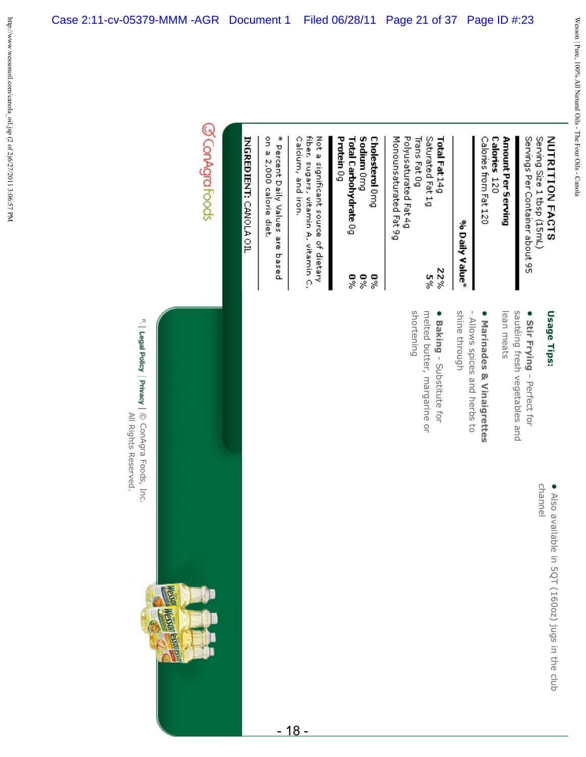Servings Per Container about 95 Serving Size 1 tbsp (15mL)

• Stir Frying - Perfect for

sautéing fresh vegetables and

sautéing fresh vegetables and

• Marinades & Vinaigrettes

- Allows spices and herbs to

Allows spices and herbs to

**Marinades & Vinaigrettes**

- Perfect for

**Stir Frying**

lean meats

lean meats

**Usage Tips:**

Usage Tips:

Calories from Fat 120 Amount Per Serving Calories 120

# % Daily Value\*

shine through

shine through

| Total Fat 14g          | 22%     |
|------------------------|---------|
| Saturated Fat 1g       | se<br>S |
| Trans Fat 0g           |         |
| Polyus aturated Fat 4g |         |
| Monounsaturated Fat 9g |         |

**•**

**Baking**

shortening

shortening

- Substitute for

melted butter, margarine or

melted butter, margarine or

Protein 0g Sodium Omg Cholesterol Omg Total Carbohydrate 0g  $\frac{6}{3}$ 9% 9%

Calcium, and iron. fiber, sugars, vitamin A, vitamin C, Not a significant source of dietary

Case 2:11-cv-05379-MMM -AGR Document 1 Filed 06/28/11 Page 21 of 37 Page ID #:23

on a 2,000 calorie diet. \* Percent Daily Values are based

INGREDIENT: CANOLA OIL

# @ConAgraFoods



**Row** 

**Hespa Lister** 

F. | Legal Policy | Privacy | © ConAgra Foods, Inc. All Rights Reserved. All Rights Reserved. © ConAgra Foods, Inc.

channel

• Also available in 5QT (160oz) jugs in the club Also available in 5QT (160oz) jugs in the club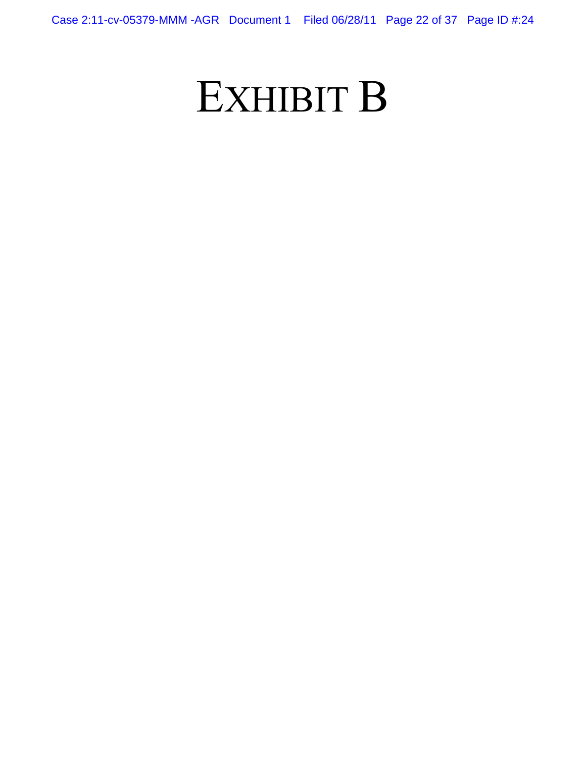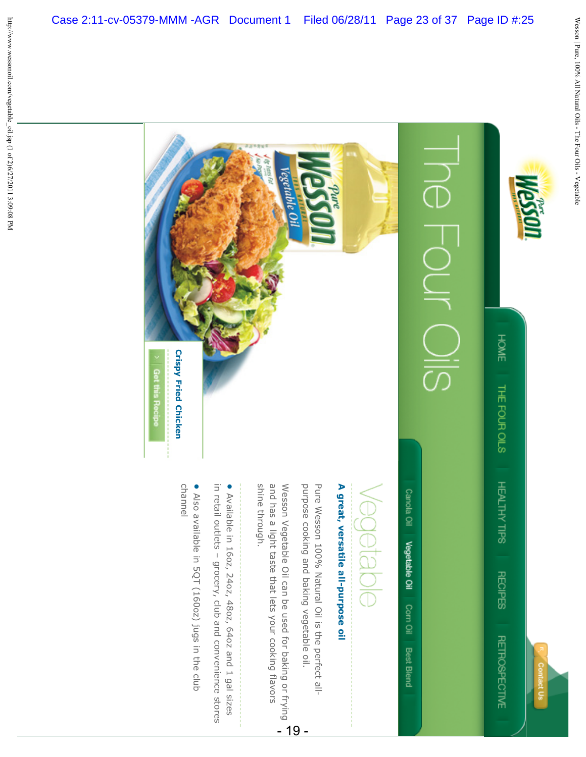



Canola Oil Vegetable Oil Corn Oil **Best Blend** 

# /eqetable

# A great, versatile all-purpose oil **A great, versatile all-purpose oil**

purpose cooking and baking vegetable oil. Pure Wesson 100% Natural Oil is the perfect allpurpose cooking and baking vegetable oil. Pure Wesson 100% Natural Oil is the perfect all-

Case 2:11-cv-05379-MMM -AGR Document 1 Filed 06/28/11 Page 23 of 37 Page ID #:25

**Vegetable** 

shine through. and has a light taste that lets your cooking flavors purpose cooking and baking vegetable oil.<br>Wesson Vegetable Oil can be used for baking or frying  $\overbrace{\phantom{a}}^{1}$ shine through. and has a light taste that lets your cooking flavors Wesson Vegetable Oil can be used for baking or frying

in retail outlets - grocery, club and convenience stores • Available in 1602, 2402, 4802, 640z and 1 gal sizes in retail outlets – grocery, club and convenience stores Available in 16oz, 24oz, 48oz, 64oz and 1 gal sizes

• Also available in 5QT (160oz) jugs in the club Also available in 5QT (160oz) jugs in the club

channel

**Crispy Fried Chicken**

**Get this Recipe** 

**Crispy Fried Chicken**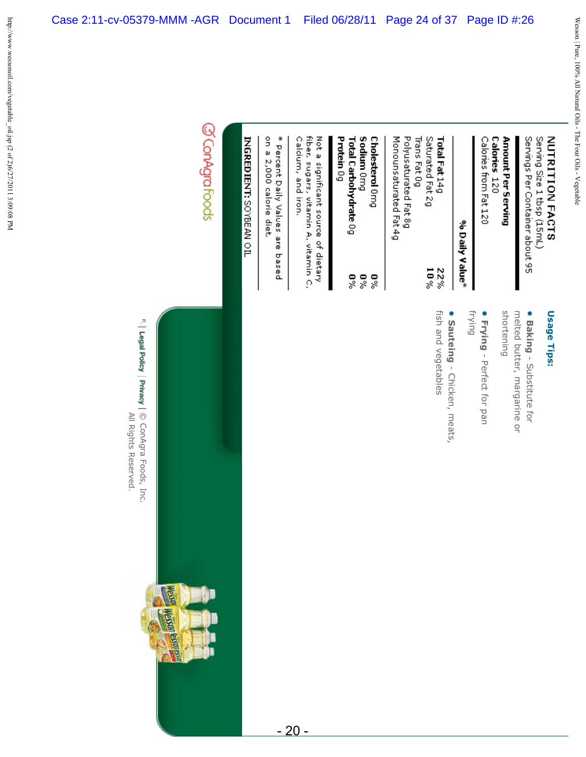Serving Size 1 tbsp (15mL) Servings Per Container about 95

Calories from Fat 120 Calories 120 Amount Per Serving

# % Daily Value\*

Monounsaturated Fat 4g Polyusaturated Fat 8g Trans Fat 0g Saturated Fat 2g Total Fat 14g

> $10\%$ 22%

Protein 0g Sodium Omg **Cholesterol** Omg Total Carbohydrate 0g  $\frac{6}{3}$ 9% %0

Calcium, and iron. fiber, sugars, vitamin A, vitamin C, Not a significant source of dietary

Case 2:11-cv-05379-MMM -AGR Document 1 Filed 06/28/11 Page 24 of 37 Page ID #:26

on a 2,000 calorie diet. \* Pescent Daily Values are based

INGREDIENT: SOMBEAN OIL

# @ConAgraFoods



F. | Legal Policy | Privacy | © ConAgra Foods, Inc. All Rights Reserved. All Rights Reserved.

**•**

shortening melted butter, margarine or shortening melted butter, margarine or **Baking**- Substitute for

**• Frying** - Perfect for pan frying

fish and vegetables fish and vegetables • Sauteing - Chicken, meats, **Sauteing**- Chicken, meats,

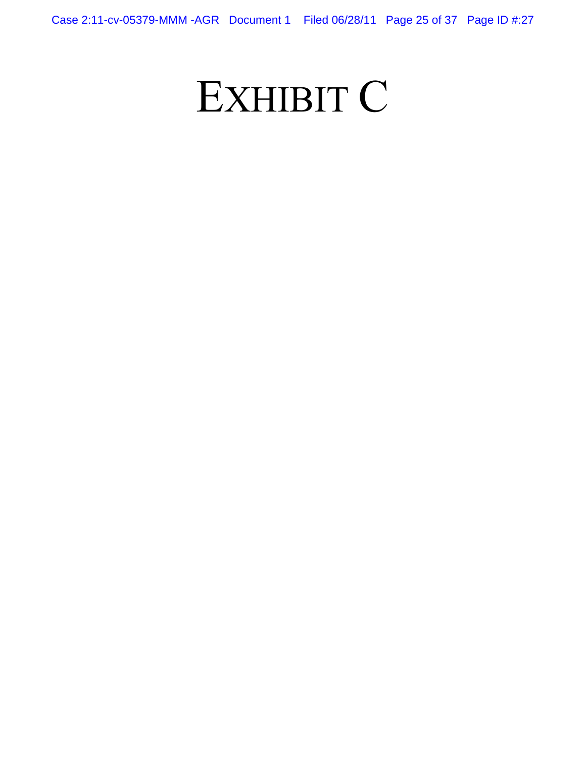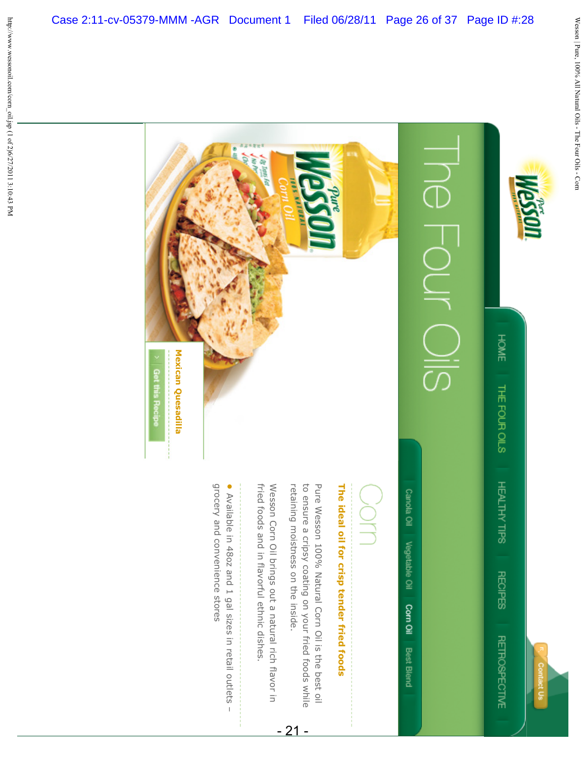



Canola Oil Vegetable Oil Corn Oil **Best Blend** 

The ideal oil for crisp tender fried foods **The ideal oil for crisp tender fried foods**

to ensure a cripsy coating on your fried foods while Pure Wesson 100% Natural Corn Oil is the best oil retaining moistness on the inside. to ensure a cripsy coating on your fried foods while retaining moistness on the inside. Pure Wesson 100% Natural Corn Oil is the best oil

Case 2:11-cv-05379-MMM -AGR Document 1 Filed 06/28/11 Page 26 of 37 Page ID #:28

 $\sqrt{g}$   $\sqrt{g}$ 

- 21 -

fried foods and in flavorful ethnic dishes. Wesson Corn Oil brings out a natural rich flavor in fried foods and in flavorful ethnic dishes. Wesson Corn Oil brings out a natural rich flavor in

grocery and convenience stores • Available in 480z and 1 gal sizes in retail outlets grocery and convenience stores Available in 48oz and 1 gal sizes in retail outlets –

**Mexican Quesadilla**

Mexican Quesadilla

Get this Recipe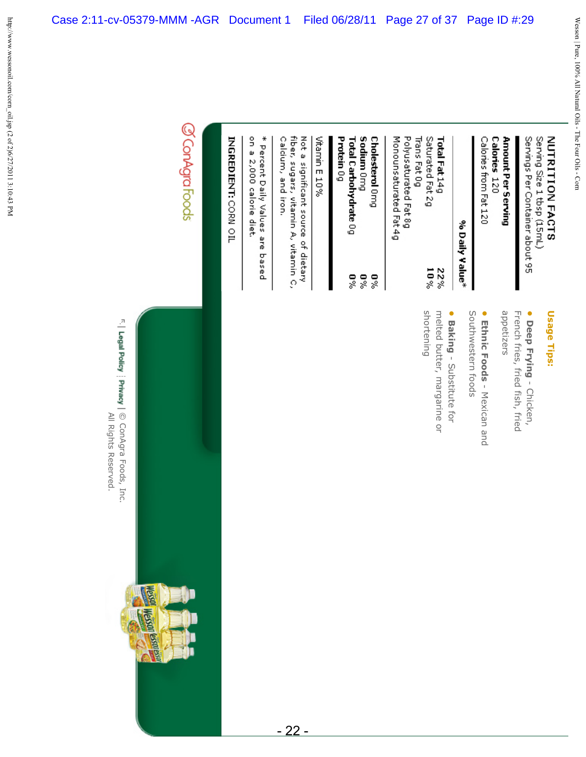Amount Per Serving Servings Per Container about 95

Calories 120 Calories from Fat 120

# % Daily Value\*

Monounsaturated Fat 4g Polyusaturated Fat 8g Trans Fat 0g Saturated Fat 2g Total Fat 14g  $10\%$ 22%

Protein 0g Sodium Omg Cholesterol Omg Total Carbohydrate 0g  $\frac{6}{3}$ 5% 5%

# Vitamin E 10%

fiber, sugars, vitamin A, vitamin C, Not a significant source of dietary Caldum, and iron.

- 22 -

on a 2,000 calorie diet. \* Percent Daily Values are based

INGREDIENT: CORN OIL

# @ConAgraFoods

F. | Legal Policy | Privacy | © ConAgra Foods, Inc. All Rights Reserved. All Rights Reserved. © ConAgra Foods, Inc.

**Read** 

**THE SOUTH OF THE STATE** 

# Usage Tips: **Usage Tips:**

appetizers French fries, fried fish, fried • Deep Frying - Chicken, appetizers French fries, fried fish, fried **Deep Frying** - Chicken,

• Ethnic Foods - Mexican and **Ethnic Foods**- Mexican and

Southwestern foods Southwestern foods

**• Baking**- Substitute for

shortening melted butter, margarine or shortening melted butter, margarine or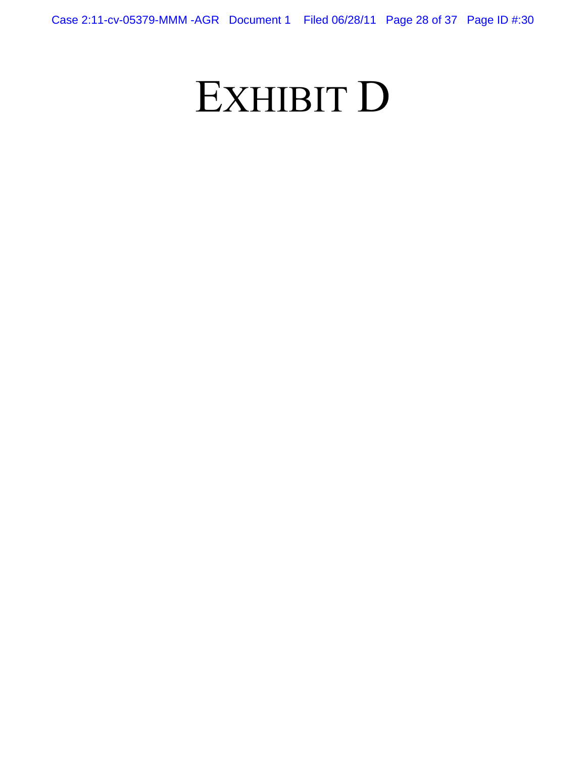# EXHIBIT D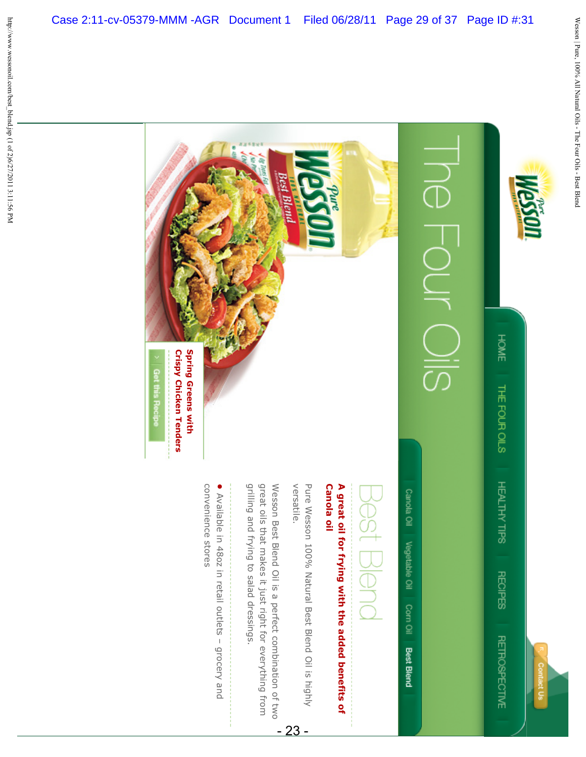



Case 2:11-cv-05379-MMM -AGR Document 1 Filed 06/28/11 Page 29 of 37 Page ID #:31

Canola oil A great oil for frying with the added benefits of **Canola oil A great oil for frying with the added benefits of** 

versatile. Pure Wesson 100% Natural Best Blend Oil is highly versatile. Pure Wesson 100% Natural Best Blend Oil is highly

- 23 -

grilling and frying to salad dressings. great oils that makes it just right for everything from Wesson Best Blend Oil is a perfect combination of two grilling and frying to salad dressings. great oils that makes it just right for everything from Wesson Best Blend Oil is a perfect combination of two

convenience stores • Available in 48oz in retail outlets - grocery and convenience stores Available in 48oz in retail outlets – grocery and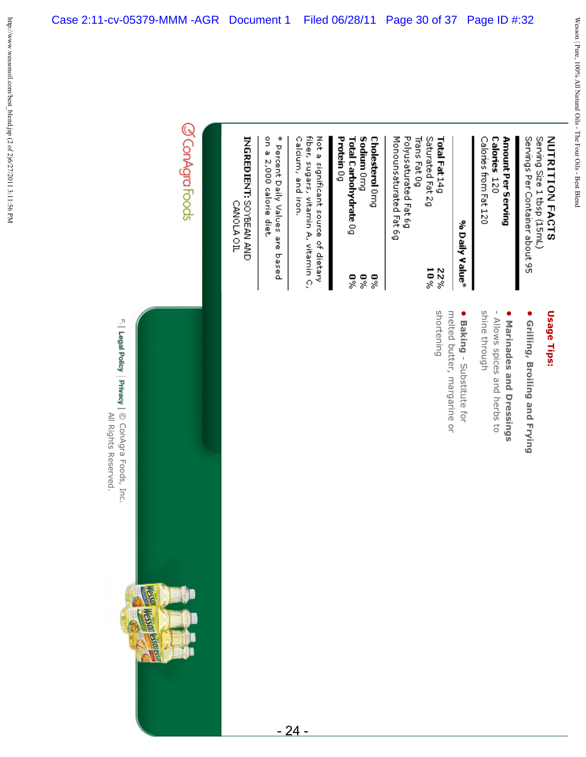# Serving Size 1 tbsp (15mL) Servings Per Container about 95

Calories 120 Amount Per Serving Calories from Fat 120

# % Daily Value\*

Monounsaturated Fat 6g Polyusaturated Fat 6g Trans Fat 0g Saturated Fat 2g Total Fat 14g  $10\%$ 22%

# Protein 0g Sodium Omg Cholesterol Omg Total Carbohydrate 0g  $\frac{6}{3}$ 5% 5%

Calcium, and iron. fiber, sugars, vitamin A, vitamin C, Not a significant source of dietary

on a 2,000 calorie diet. \* Percent Daily Values are based

# INGREDIENT: SOYBEAN AND

CANOLA OIL

# @ConAgraFoods

F. | Legal Policy | Privacy | © ConAgra Foods, Inc. All Rights Reserved. All Rights Reserved. © ConAgra Foods, Inc.

Ē

**THE SOUTH OF THE STATE** 

# Usage Tips: **Usage Tips:**

- **•** Grilling, Broiling and Frying **Grilling, Broiling and Frying**
- Marinades and Dressings **Marinades and Dressings** - Allows spices and herbs to
- shine through - Allows spices and herbs to shine through
- melted butter, margarine or **•** melted butter, margarine or **Baking**- Substitute for
- shortening shortening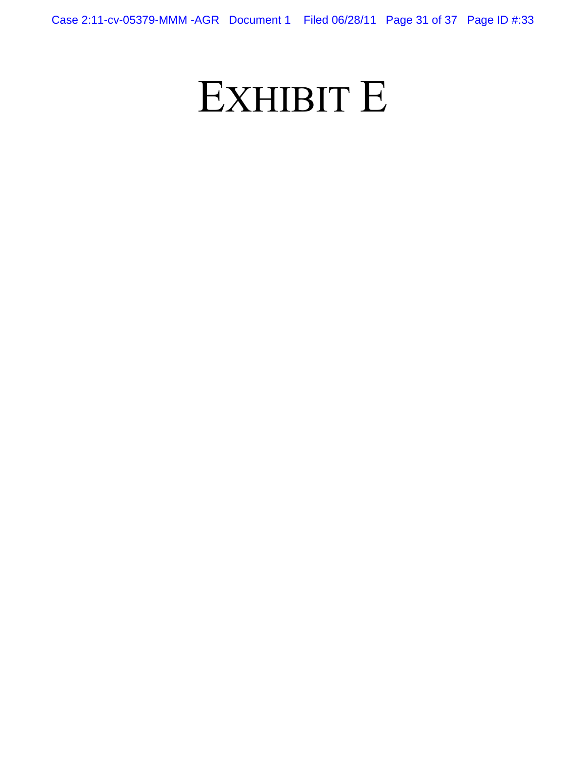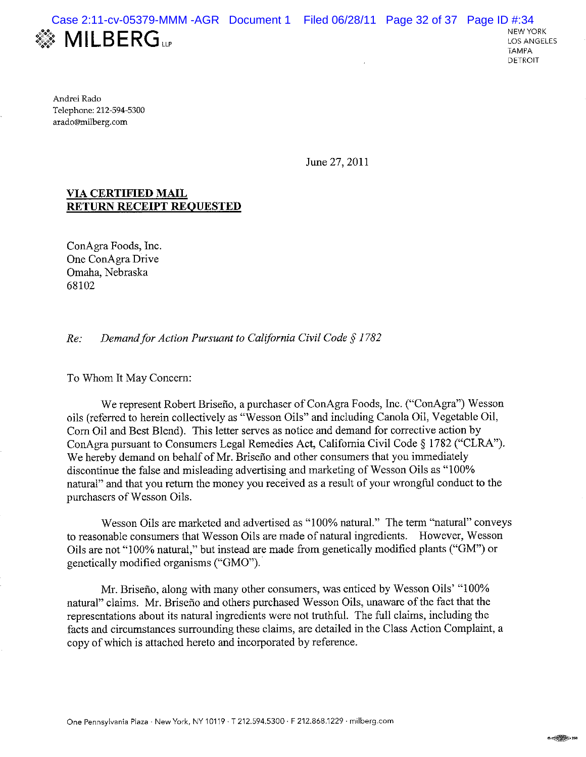

Andrei Rado Telephone: 212-594-5300 arado@milberg.com

June 27, 2011

### **VIA CERTIFIED MAIL RETURN RECEIPT REOUESTED**

ConAgra Foods, Inc. One ConAgra Drive Omaha, Nebraska 68102

Demand for Action Pursuant to California Civil Code § 1782  $Re:$ 

To Whom It May Concern:

We represent Robert Briseño, a purchaser of ConAgra Foods, Inc. ("ConAgra") Wesson oils (referred to herein collectively as "Wesson Oils" and including Canola Oil, Vegetable Oil, Corn Oil and Best Blend). This letter serves as notice and demand for corrective action by ConAgra pursuant to Consumers Legal Remedies Act, California Civil Code § 1782 ("CLRA"). We hereby demand on behalf of Mr. Briseño and other consumers that you immediately discontinue the false and misleading advertising and marketing of Wesson Oils as "100% natural" and that you return the money you received as a result of your wrongful conduct to the purchasers of Wesson Oils.

Wesson Oils are marketed and advertised as "100% natural." The term "natural" conveys to reasonable consumers that Wesson Oils are made of natural ingredients. However, Wesson Oils are not "100% natural," but instead are made from genetically modified plants ("GM") or genetically modified organisms ("GMO").

Mr. Briseño, along with many other consumers, was enticed by Wesson Oils' "100% natural" claims. Mr. Briseño and others purchased Wesson Oils, unaware of the fact that the representations about its natural ingredients were not truthful. The full claims, including the facts and circumstances surrounding these claims, are detailed in the Class Action Complaint, a copy of which is attached hereto and incorporated by reference.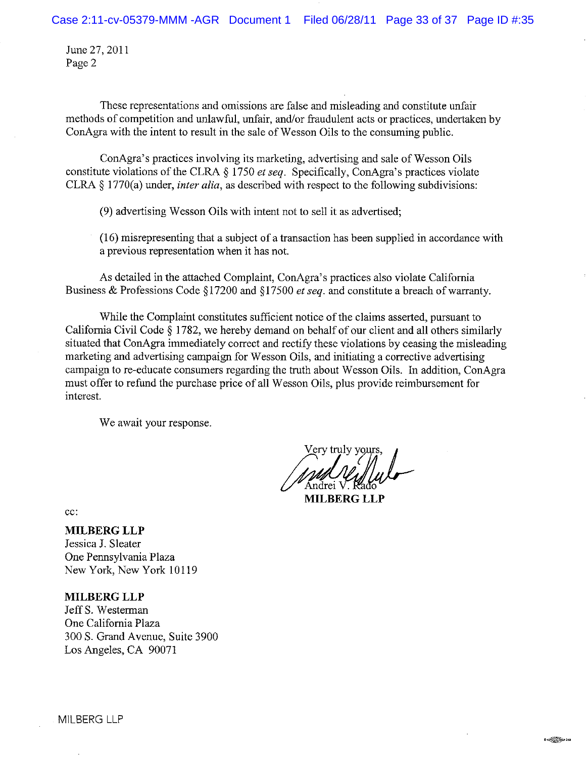June 27, 2011 Page 2

These representations and omissions are false and misleading and constitute unfair methods of competition and unlawful, unfair, and/or fraudulent acts or practices, undertaken by ConAgra with the intent to result in the sale of Wesson Oils to the consuming public.

ConAgra's practices involving its marketing, advertising and sale of Wesson Oils constitute violations of the CLRA § 1750 et seq. Specifically, ConAgra's practices violate CLRA  $\S$  1770(a) under, *inter alia*, as described with respect to the following subdivisions:

(9) advertising Wesson Oils with intent not to sell it as advertised;

(16) misrepresenting that a subject of a transaction has been supplied in accordance with a previous representation when it has not.

As detailed in the attached Complaint, ConAgra's practices also violate California Business & Professions Code §17200 and §17500 *et seq.* and constitute a breach of warranty.

While the Complaint constitutes sufficient notice of the claims asserted, pursuant to California Civil Code § 1782, we hereby demand on behalf of our client and all others similarly situated that ConAgra immediately correct and rectify these violations by ceasing the misleading marketing and advertising campaign for Wesson Oils, and initiating a corrective advertising campaign to re-educate consumers regarding the truth about Wesson Oils. In addition, ConAgra must offer to refund the purchase price of all Wesson Oils, plus provide reimbursement for interest.

We await your response.

Very truly yours, Andrei V

**MILBERG LLP** 

 $cc$ :

**MILBERG LLP** 

Jessica J. Sleater One Pennsylvania Plaza New York, New York 10119

### **MILBERG LLP**

Jeff S. Westerman One California Plaza 300 S. Grand Avenue, Suite 3900 Los Angeles, CA 90071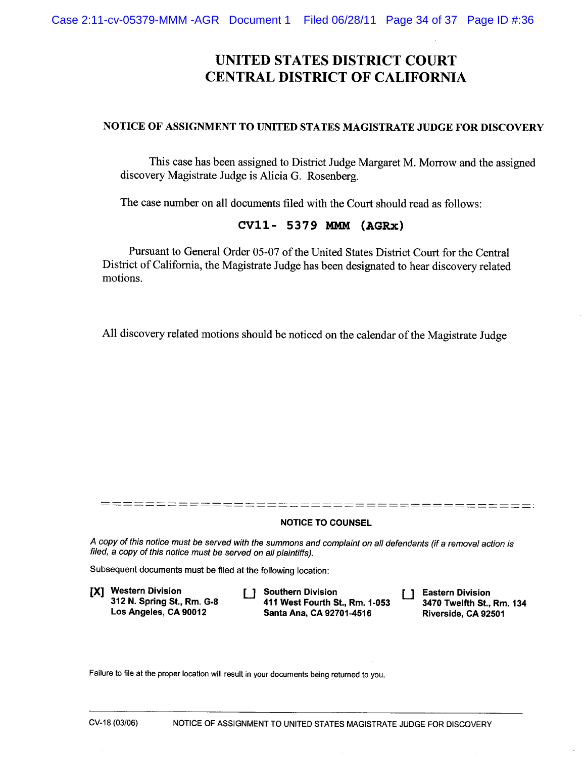# **UNITED STATES DISTRICT COURT CENTRAL DISTRICT OF CALIFORNIA**

### NOTICE OF ASSIGNMENT TO UNITED STATES MAGISTRATE JUDGE FOR DISCOVERY

This case has been assigned to District Judge Margaret M. Morrow and the assigned discovery Magistrate Judge is Alicia G. Rosenberg.

The case number on all documents filed with the Court should read as follows:

### CV11- 5379 MMM (AGRx)

Pursuant to General Order 05-07 of the United States District Court for the Central District of California, the Magistrate Judge has been designated to hear discovery related motions.

All discovery related motions should be noticed on the calendar of the Magistrate Judge

### **NOTICE TO COUNSEL**

A copy of this notice must be served with the summons and complaint on all defendants (if a removal action is filed, a copy of this notice must be served on all plaintiffs).

Subsequent documents must be filed at the following location:

[X] Western Division 312 N. Spring St., Rm. G-8 Los Angeles, CA 90012

[ ] Southern Division 411 West Fourth St., Rm. 1-053 Santa Ana, CA 92701-4516

 $\Box$  Eastern Division 3470 Twelfth St., Rm. 134 Riverside, CA 92501

Failure to file at the proper location will result in your documents being returned to you.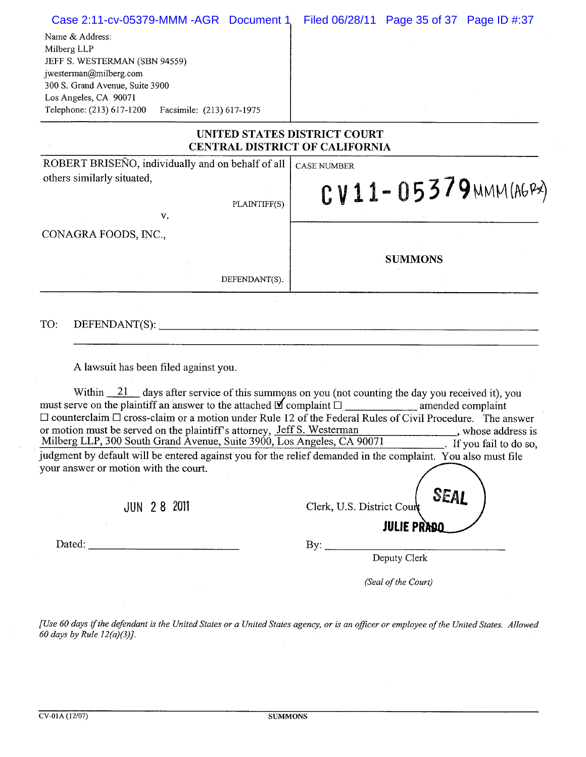| Case 2:11-cv-05379-MMM-AGR Document 1                                                                                                                                                                                                                                                                                                                                                                                                                                               | Filed 06/28/11 Page 35 of 37 Page ID #:37                                                                                                                                                                                                                                                                                                                                                                                                                                                                                                        |
|-------------------------------------------------------------------------------------------------------------------------------------------------------------------------------------------------------------------------------------------------------------------------------------------------------------------------------------------------------------------------------------------------------------------------------------------------------------------------------------|--------------------------------------------------------------------------------------------------------------------------------------------------------------------------------------------------------------------------------------------------------------------------------------------------------------------------------------------------------------------------------------------------------------------------------------------------------------------------------------------------------------------------------------------------|
| Name & Address:<br>Milberg LLP<br>JEFF S. WESTERMAN (SBN 94559)                                                                                                                                                                                                                                                                                                                                                                                                                     |                                                                                                                                                                                                                                                                                                                                                                                                                                                                                                                                                  |
| jwesterman@milberg.com<br>300 S. Grand Avenue, Suite 3900                                                                                                                                                                                                                                                                                                                                                                                                                           |                                                                                                                                                                                                                                                                                                                                                                                                                                                                                                                                                  |
| Los Angeles, CA 90071                                                                                                                                                                                                                                                                                                                                                                                                                                                               |                                                                                                                                                                                                                                                                                                                                                                                                                                                                                                                                                  |
| Telephone: (213) 617-1200<br>Facsimile: (213) 617-1975                                                                                                                                                                                                                                                                                                                                                                                                                              |                                                                                                                                                                                                                                                                                                                                                                                                                                                                                                                                                  |
| UNITED STATES DISTRICT COURT<br><b>CENTRAL DISTRICT OF CALIFORNIA</b>                                                                                                                                                                                                                                                                                                                                                                                                               |                                                                                                                                                                                                                                                                                                                                                                                                                                                                                                                                                  |
| ROBERT BRISEÑO, individually and on behalf of all                                                                                                                                                                                                                                                                                                                                                                                                                                   | <b>CASE NUMBER</b>                                                                                                                                                                                                                                                                                                                                                                                                                                                                                                                               |
| others similarly situated,                                                                                                                                                                                                                                                                                                                                                                                                                                                          | CV11-05379 MMM(AGPX)                                                                                                                                                                                                                                                                                                                                                                                                                                                                                                                             |
| PLAINTIFF(S)                                                                                                                                                                                                                                                                                                                                                                                                                                                                        |                                                                                                                                                                                                                                                                                                                                                                                                                                                                                                                                                  |
| v.                                                                                                                                                                                                                                                                                                                                                                                                                                                                                  |                                                                                                                                                                                                                                                                                                                                                                                                                                                                                                                                                  |
| CONAGRA FOODS, INC.,                                                                                                                                                                                                                                                                                                                                                                                                                                                                |                                                                                                                                                                                                                                                                                                                                                                                                                                                                                                                                                  |
|                                                                                                                                                                                                                                                                                                                                                                                                                                                                                     | <b>SUMMONS</b>                                                                                                                                                                                                                                                                                                                                                                                                                                                                                                                                   |
| DEFENDANT(S).                                                                                                                                                                                                                                                                                                                                                                                                                                                                       |                                                                                                                                                                                                                                                                                                                                                                                                                                                                                                                                                  |
| TO:<br>DEFENDANT(S):<br>A lawsuit has been filed against you.                                                                                                                                                                                                                                                                                                                                                                                                                       | <u> 1980 - Johann Barn, mars et al. (b. 1980).</u><br>1980 - Carl Britain, politik et al. (b. 1980).                                                                                                                                                                                                                                                                                                                                                                                                                                             |
| $\Box$ counterclaim $\Box$ cross-claim or a motion under Rule 12 of the Federal Rules of Civil Procedure. The answer<br>or motion must be served on the plaintiff's attorney, Jeff S. Westerman _________, whose address is Milberg LLP, 300 South Grand Avenue, Suite 3900, Los Angeles, CA 90071 . If you fail to do so,<br>judgment by default will be entered against you for the relief demanded in the complaint. You also must file<br>your answer or motion with the court. | Within $\frac{21}{1}$ days after service of this summons on you (not counting the day you received it), you<br>$\frac{1}{\sqrt{1-\frac{1}{\sqrt{1-\frac{1}{\sqrt{1-\frac{1}{\sqrt{1-\frac{1}{\sqrt{1-\frac{1}{\sqrt{1-\frac{1}{\sqrt{1-\frac{1}{\sqrt{1-\frac{1}{\sqrt{1-\frac{1}{\sqrt{1-\frac{1}{\sqrt{1-\frac{1}{\sqrt{1-\frac{1}{\sqrt{1-\frac{1}{\sqrt{1-\frac{1}{\sqrt{1-\frac{1}{\sqrt{1-\frac{1}{\sqrt{1-\frac{1}{\sqrt{1-\frac{1}{\sqrt{1-\frac{1}{\sqrt{1-\frac{1}{\sqrt{1-\frac{1}{\sqrt{1-\frac{1}{\sqrt{1-\frac{1}{\sqrt{1-\frac{1$ |
| <b>JUN 28 2011</b>                                                                                                                                                                                                                                                                                                                                                                                                                                                                  | SEAL<br>Clerk, U.S. District Court                                                                                                                                                                                                                                                                                                                                                                                                                                                                                                               |
| Dated:                                                                                                                                                                                                                                                                                                                                                                                                                                                                              | <b>JULIE PRADQ</b>                                                                                                                                                                                                                                                                                                                                                                                                                                                                                                                               |
| $\overline{\phantom{a}}$                                                                                                                                                                                                                                                                                                                                                                                                                                                            |                                                                                                                                                                                                                                                                                                                                                                                                                                                                                                                                                  |
|                                                                                                                                                                                                                                                                                                                                                                                                                                                                                     | (Seal of the Court)                                                                                                                                                                                                                                                                                                                                                                                                                                                                                                                              |

[Use 60 days if the defendant is the United States or a United States agency, or is an officer or employee of the United States. Allowed<br>60 days by Rule 12(a)(3)].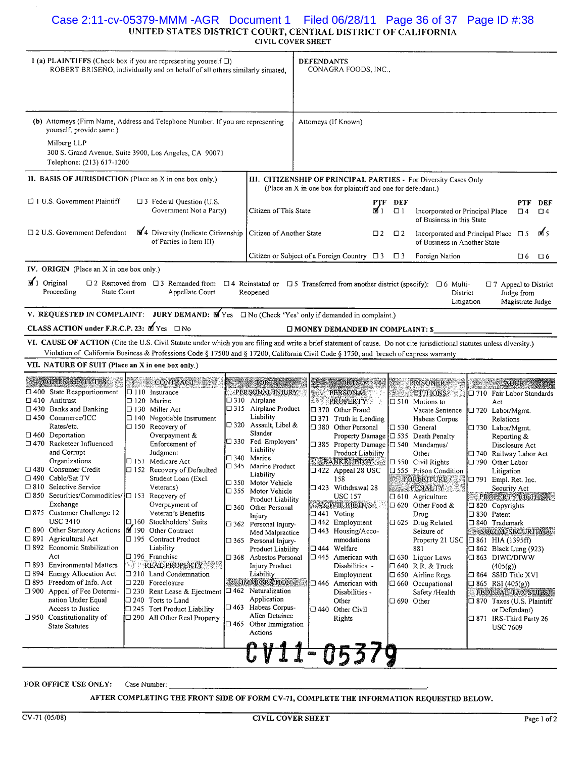# Case 2:11-cv-05379-MMM -AGR Document 1 Filed 06/28/11 Page 36 of 37 Page ID #:38CIVIL COVER SHEET

| 1 (a) PLAINTIFFS (Check box if you are representing yourself $\Box$ )<br>ROBERT BRISENO, individually and on behalf of all others similarly situated,                                                            |                                                                                                                                                                          |  |                                                                 |       |                                                                                                                                                                                                        | <b>DEFENDANTS</b> | CONAGRA FOODS, INC.,                       |                 |                     |                                                                                                                        |                                              |                                |      |
|------------------------------------------------------------------------------------------------------------------------------------------------------------------------------------------------------------------|--------------------------------------------------------------------------------------------------------------------------------------------------------------------------|--|-----------------------------------------------------------------|-------|--------------------------------------------------------------------------------------------------------------------------------------------------------------------------------------------------------|-------------------|--------------------------------------------|-----------------|---------------------|------------------------------------------------------------------------------------------------------------------------|----------------------------------------------|--------------------------------|------|
| (b) Attomeys (Firm Name, Address and Telephone Number. If you are representing<br>yourself, provide same.)<br>Milberg LLP<br>300 S. Grand Avenue, Suite 3900, Los Angeles, CA 90071<br>Telephone: (213) 617-1200 |                                                                                                                                                                          |  |                                                                 |       |                                                                                                                                                                                                        |                   | Attorneys (If Known)                       |                 |                     |                                                                                                                        |                                              |                                |      |
|                                                                                                                                                                                                                  | II. BASIS OF JURISDICTION (Place an X in one box only.)                                                                                                                  |  |                                                                 |       |                                                                                                                                                                                                        |                   |                                            |                 |                     | III. CITIZENSHIP OF PRINCIPAL PARTIES - For Diversity Cases Only                                                       |                                              |                                |      |
| $\Box$ 1 U.S. Government Plaintiff<br>$\square$ 3 Federal Question (U.S.<br>Government Not a Party)                                                                                                              |                                                                                                                                                                          |  |                                                                 |       | (Place an X in one box for plaintiff and one for defendant.)<br>PTF DEF<br>PTF<br>ו ⊠<br>Citizen of This State<br>$\Box$ 1<br>Incorporated or Principal Place<br>$\Box$ 4<br>of Business in this State |                   |                                            | DEF<br>$\Box$ 4 |                     |                                                                                                                        |                                              |                                |      |
|                                                                                                                                                                                                                  | □ 2 U.S. Government Defendant                                                                                                                                            |  | 14 Diversity (Indicate Citizenship<br>of Parties in Item III)   |       | Citizen of Another State                                                                                                                                                                               |                   |                                            | $\square$ 2     | $\Box$ 2            | Incorporated and Principal Place $\Box$ 5<br>of Business in Another State                                              |                                              |                                | M. 5 |
|                                                                                                                                                                                                                  |                                                                                                                                                                          |  |                                                                 |       | Citizen or Subject of a Foreign Country $\Box$ 3                                                                                                                                                       |                   |                                            |                 | $\Box$ 3            | Foreign Nation                                                                                                         |                                              | □ 6                            | □ 6  |
|                                                                                                                                                                                                                  | IV. ORIGIN (Place an X in one box only.)                                                                                                                                 |  |                                                                 |       |                                                                                                                                                                                                        |                   |                                            |                 |                     |                                                                                                                        |                                              |                                |      |
|                                                                                                                                                                                                                  | $\sqrt{1}$ Original<br>State Court<br>Proceeding                                                                                                                         |  | $\Box$ 2 Removed from $\Box$ 3 Remanded from<br>Appellate Court |       | Reopened                                                                                                                                                                                               |                   |                                            |                 |                     | $\Box$ 4 Reinstated or $\Box$ 5 Transferred from another district (specify): $\Box$ 6 Multi-<br>District<br>Litigation | $\Box$ 7 Appeal to District                  | Judge from<br>Magistrate Judge |      |
|                                                                                                                                                                                                                  | V. REQUESTED IN COMPLAINT: JURY DEMAND: $\mathbf{\overline{M}}$ Yes $\Box$ No (Check 'Yes' only if demanded in complaint.)                                               |  |                                                                 |       |                                                                                                                                                                                                        |                   |                                            |                 |                     |                                                                                                                        |                                              |                                |      |
|                                                                                                                                                                                                                  | <b>CLASS ACTION under F.R.C.P. 23:</b> $M$ Yes $\Box$ No                                                                                                                 |  |                                                                 |       |                                                                                                                                                                                                        |                   | □ MONEY DEMANDED IN COMPLAINT: \$          |                 |                     |                                                                                                                        |                                              |                                |      |
|                                                                                                                                                                                                                  | VI. CAUSE OF ACTION (Cite the U.S. Civil Statute under which you are filing and write a brief statement of cause. Do not cite jurisdictional statutes unless diversity.) |  |                                                                 |       |                                                                                                                                                                                                        |                   |                                            |                 |                     |                                                                                                                        |                                              |                                |      |
|                                                                                                                                                                                                                  | Violation of California Business & Professions Code § 17500 and § 17200, California Civil Code § 1750, and breach of express warranty                                    |  |                                                                 |       |                                                                                                                                                                                                        |                   |                                            |                 |                     |                                                                                                                        |                                              |                                |      |
|                                                                                                                                                                                                                  | VII. NATURE OF SUIT (Place an X in one box only.)                                                                                                                        |  |                                                                 |       |                                                                                                                                                                                                        |                   |                                            |                 |                     |                                                                                                                        |                                              |                                |      |
|                                                                                                                                                                                                                  | <b>ACOTHER STATUTES</b>                                                                                                                                                  |  | <b>CONTRACT</b><br><b>SER</b><br>$\Box$ 110 Insurance           |       | <b>ALCORDED</b><br>PERSONAL INJURY                                                                                                                                                                     |                   | <b>CHORIS</b>                              |                 |                     | <b>PRISONER</b>                                                                                                        | <b>ELABOR</b>                                |                                |      |
|                                                                                                                                                                                                                  |                                                                                                                                                                          |  |                                                                 |       |                                                                                                                                                                                                        |                   |                                            |                 |                     |                                                                                                                        |                                              |                                |      |
|                                                                                                                                                                                                                  | $\Box$ 400 State Reapportionment<br>$\Box$ 410 Antitrust                                                                                                                 |  | $\square$ 120 Marine                                            |       | □ 310 Airplane                                                                                                                                                                                         |                   | PERSONAL<br>PROPERTY                       |                 | 8. J.               | <b>PETITIONS</b><br>$\Box$ 510 Motions to                                                                              | □ 710 Fair Labor Standards<br>Act            |                                |      |
|                                                                                                                                                                                                                  | $\Box$ 430 Banks and Banking                                                                                                                                             |  | □ 130 Miller Act                                                |       | □ 315 Airplane Product                                                                                                                                                                                 |                   | □ 370 Other Fraud                          |                 |                     | Vacate Sentence                                                                                                        | □ 720 Labor/Mgmt.                            |                                |      |
|                                                                                                                                                                                                                  | $\Box$ 450 Commerce/ICC                                                                                                                                                  |  | $\Box$ 140 Negotiable Instrument                                |       | Liability                                                                                                                                                                                              |                   | $\Box$ 371 Truth in Lending                |                 |                     | Habeas Corpus                                                                                                          | Relations                                    |                                |      |
|                                                                                                                                                                                                                  | Rates/etc.                                                                                                                                                               |  | □ 150 Recovery of                                               |       | $\Box$ 320 Assault, Libel &                                                                                                                                                                            |                   | □ 380 Other Personal                       |                 |                     | $\Box$ 530 General                                                                                                     | □ 730 Labor/Mgmt.                            |                                |      |
|                                                                                                                                                                                                                  | $\square$ 460 Deportation                                                                                                                                                |  | Overpayment &                                                   |       | Slander                                                                                                                                                                                                |                   |                                            |                 |                     | Property Damage □ 535 Death Penalty                                                                                    | Reporting &                                  |                                |      |
|                                                                                                                                                                                                                  | □ 470 Racketeer Influenced                                                                                                                                               |  | Enforcement of                                                  |       | □ 330 Fed. Employers'<br>Liability                                                                                                                                                                     |                   | □ 385 Property Damage □ 540 Mandamus/      |                 |                     |                                                                                                                        | Disclosure Act                               |                                |      |
|                                                                                                                                                                                                                  | and Corrupt<br>Organizations                                                                                                                                             |  | Judgment<br>□ 151 Medicare Act                                  |       | $\square$ 340 Marine                                                                                                                                                                                   |                   | Product Liability                          |                 |                     | Other                                                                                                                  | □ 740 Railway Labor Act<br>□ 790 Other Labor |                                |      |
|                                                                                                                                                                                                                  | □ 480 Consumer Credit                                                                                                                                                    |  | □ 152 Recovery of Defaulted                                     |       | $\Box$ 345 Marine Product                                                                                                                                                                              |                   | BANKRUPTCY<br>$\Box$ 422 Appeal 28 USC     |                 |                     | D 550 Civil Rights<br>555 Prison Condition                                                                             | Litigation                                   |                                |      |
|                                                                                                                                                                                                                  | □ 490 Cable/Sat TV                                                                                                                                                       |  | Student Loan (Excl.                                             |       | Liability                                                                                                                                                                                              |                   | 158                                        |                 |                     | FORFEITURE /                                                                                                           | $\Box$ 791 Empl. Ret. Inc.                   |                                |      |
|                                                                                                                                                                                                                  | □ 810 Selective Service                                                                                                                                                  |  | Veterans)                                                       |       | □ 350 Motor Vehicle<br>□ 355 Motor Vehicle                                                                                                                                                             |                   | □ 423 Withdrawal 28                        |                 |                     | <b>ELL PENALTY</b>                                                                                                     | Security Act                                 |                                |      |
|                                                                                                                                                                                                                  | □ 850 Securities/Commodities/ □ 153 Recovery of                                                                                                                          |  |                                                                 |       | Product Liability                                                                                                                                                                                      |                   | USC 157                                    |                 |                     | $\Box$ 610 Agriculture                                                                                                 | PROPERTY RIGHTS                              |                                |      |
|                                                                                                                                                                                                                  | Exchange                                                                                                                                                                 |  | Overpayment of                                                  |       | $\Box$ 360 Other Personal                                                                                                                                                                              |                   | <b>CIVIL RIGHTS</b>                        |                 |                     | $\Box$ 620 Other Food &                                                                                                | $\Box$ 820 Copyrights                        |                                |      |
|                                                                                                                                                                                                                  | □ 875 Customer Challenge 12<br>USC 3410                                                                                                                                  |  | Veteran's Benefits<br>□160 Stockholders' Suits                  |       | Injury                                                                                                                                                                                                 |                   | $\Box$ 441 Voting<br>$\Box$ 442 Employment |                 |                     | Drug<br>□ 625 Drug Related                                                                                             | $\Box$ 830 Patent<br>□ 840 Trademark         |                                |      |
|                                                                                                                                                                                                                  | $\Box$ 890 Other Statutory Actions                                                                                                                                       |  | 190 Other Contract                                              |       | $\Box$ 362 Personal Injury-<br>Med Malpractice                                                                                                                                                         |                   | $\Box$ 443 Housing/Acco-                   |                 |                     | Seizure of                                                                                                             | SOCIAL SECURITY                              |                                |      |
|                                                                                                                                                                                                                  | $\Box$ 891 Agricultural Act                                                                                                                                              |  | □ 195 Contract Product                                          |       | $\Box$ 365 Personal Injury-                                                                                                                                                                            |                   | mmodations                                 |                 |                     | Property 21 USC                                                                                                        | $\Box$ 861 HIA (1395ff)                      |                                |      |
|                                                                                                                                                                                                                  | □ 892 Economic Stabilization                                                                                                                                             |  | Liability                                                       |       | Product Liability                                                                                                                                                                                      |                   | $\Box$ 444 Welfare                         |                 |                     | 881                                                                                                                    | $\Box$ 862 Black Lung (923)                  |                                |      |
|                                                                                                                                                                                                                  | Act                                                                                                                                                                      |  | $\Box$ 196 Franchise                                            | □ 368 | Asbestos Personal                                                                                                                                                                                      |                   | $\Box$ 445 American with                   |                 |                     | $\Box$ 630 Liquor Laws                                                                                                 | $\square$ 863 DIWC/DIWW                      |                                |      |
|                                                                                                                                                                                                                  | □ 893 Environmental Matters<br>□ 894 Energy Allocation Act                                                                                                               |  | <b>REAL PROPERTY</b><br> □ 210 Land Condemnation                |       | Injury Product<br>Liability                                                                                                                                                                            |                   | Disabilities -<br>Employment               |                 |                     | $\Box$ 640 R.R. & Truck                                                                                                | (405(g))<br>□ 864 SSID Title XVI             |                                |      |
|                                                                                                                                                                                                                  | □ 895 Freedom of Info. Act                                                                                                                                               |  | $\Box$ 220 Foreclosure                                          |       | <b>SUMMIGRATION </b>                                                                                                                                                                                   |                   | I□ 446 American with                       |                 |                     | $\Box$ 650 Airline Regs<br>$\Box$ 660 Occupational                                                                     | $\Box$ 865 RSI (405(g))                      |                                |      |
|                                                                                                                                                                                                                  | $\Box$ 900 Appeal of Fee Determi-                                                                                                                                        |  | □ 230 Rent Lease & Ejectment  □ 462 Naturalization              |       |                                                                                                                                                                                                        |                   | Disabilities -                             |                 |                     | Safety /Health                                                                                                         | <b>FEDERAL TAX SUITS</b>                     |                                |      |
|                                                                                                                                                                                                                  | nation Under Equal                                                                                                                                                       |  | $\Box$ 240 Torts to Land                                        |       | Application                                                                                                                                                                                            |                   | Other                                      |                 | $\square$ 690 Other |                                                                                                                        | □ 870 Taxes (U.S. Plaintiff                  |                                |      |
|                                                                                                                                                                                                                  | Access to Justice                                                                                                                                                        |  | $\square$ 245 Tort Product Liability                            |       | $\Box$ 463 Habeas Corpus-                                                                                                                                                                              |                   | □ 440 Other Civil                          |                 |                     |                                                                                                                        | or Defendant)                                |                                |      |
|                                                                                                                                                                                                                  | $\square$ 950 Constitutionality of                                                                                                                                       |  | $\square$ 290 All Other Real Property                           |       | Alien Detainee<br>$\Box$ 465 Other Immigration                                                                                                                                                         |                   | Rights                                     |                 |                     |                                                                                                                        | □ 871 IRS-Third Party 26                     |                                |      |
|                                                                                                                                                                                                                  | State Statutes                                                                                                                                                           |  |                                                                 |       | Actions                                                                                                                                                                                                |                   |                                            |                 |                     |                                                                                                                        | <b>USC 7609</b>                              |                                |      |
|                                                                                                                                                                                                                  |                                                                                                                                                                          |  |                                                                 |       |                                                                                                                                                                                                        |                   |                                            |                 |                     |                                                                                                                        |                                              |                                |      |
|                                                                                                                                                                                                                  |                                                                                                                                                                          |  |                                                                 |       |                                                                                                                                                                                                        | CEC.              | ひり                                         |                 |                     |                                                                                                                        |                                              |                                |      |

FOR OFFICE USE ONLY: Case Number:

AFTER COMPLETING THE FRONT SIDE OF FORM CV-71, COMPLETE THE INFORMATION REQUESTED BELOW.

÷,